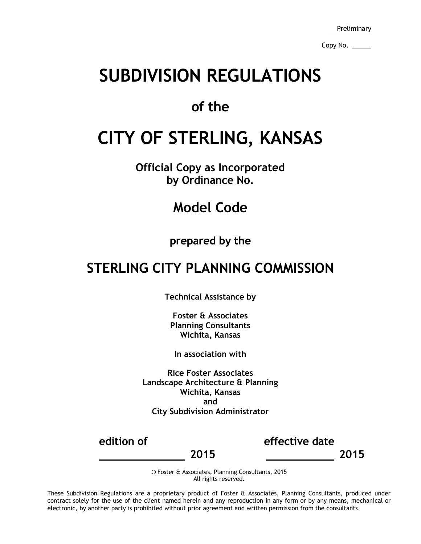Preliminary

Copy No.

# **SUBDIVISION REGULATIONS**

### **of the**

# **CITY OF STERLING, KANSAS**

**Official Copy as Incorporated by Ordinance No.**

## **Model Code**

### **prepared by the**

## **STERLING CITY PLANNING COMMISSION**

**Technical Assistance by**

**Foster & Associates Planning Consultants Wichita, Kansas**

**In association with**

**Rice Foster Associates Landscape Architecture & Planning Wichita, Kansas and City Subdivision Administrator**

**edition of effective date**

 **2015 2015**

© Foster & Associates, Planning Consultants, 2015 All rights reserved.

These Subdivision Regulations are a proprietary product of Foster & Associates, Planning Consultants, produced under contract solely for the use of the client named herein and any reproduction in any form or by any means, mechanical or electronic, by another party is prohibited without prior agreement and written permission from the consultants.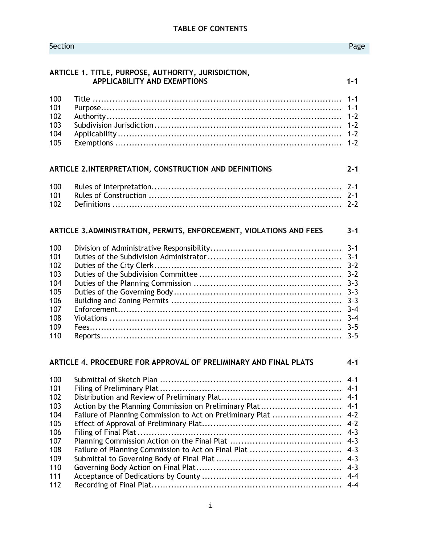#### Section **Page**

|            | ARTICLE 1. TITLE, PURPOSE, AUTHORITY, JURISDICTION,<br><b>APPLICABILITY AND EXEMPTIONS</b> | $1 - 1$ |
|------------|--------------------------------------------------------------------------------------------|---------|
| 100        |                                                                                            | $1 - 1$ |
| 101        |                                                                                            | $1 - 1$ |
| 102        |                                                                                            | $1 - 2$ |
| 103        |                                                                                            | $1 - 2$ |
| 104        |                                                                                            | $1 - 2$ |
| 105        |                                                                                            | $1 - 2$ |
|            | ARTICLE 2.INTERPRETATION, CONSTRUCTION AND DEFINITIONS                                     | $2 - 1$ |
| 100        |                                                                                            | $2 - 1$ |
| 101        |                                                                                            |         |
| 102        |                                                                                            |         |
|            | ARTICLE 3. ADMINISTRATION, PERMITS, ENFORCEMENT, VIOLATIONS AND FEES                       | $3 - 1$ |
| 100        |                                                                                            | $3 - 1$ |
| 101        |                                                                                            |         |
| 102        |                                                                                            |         |
| 103        |                                                                                            |         |
| 104        |                                                                                            | $3 - 3$ |
| 105        |                                                                                            | $3 - 3$ |
| 106        |                                                                                            | $3 - 3$ |
| 107        |                                                                                            | $3 - 4$ |
| 108        |                                                                                            | $3 - 4$ |
| 109<br>110 |                                                                                            | $3 - 5$ |
|            |                                                                                            |         |
|            | ARTICLE 4. PROCEDURE FOR APPROVAL OF PRELIMINARY AND FINAL PLATS                           | $4 - 1$ |
| 100        |                                                                                            | $4 - 1$ |
| 101        |                                                                                            |         |
| 102        |                                                                                            |         |
| 103        |                                                                                            |         |
| 104        | Failure of Planning Commission to Act on Preliminary Plat  4-2                             |         |

 Effect of Approval of Preliminary Plat.................................................. 4-2 Filing of Final Plat......................................................................... 4-3 Planning Commission Action on the Final Plat ........................................ 4-3 Failure of Planning Commission to Act on Final Plat ................................. 4-3 Submittal to Governing Body of Final Plat............................................. 4-3 Governing Body Action on Final Plat.................................................... 4-3 Acceptance of Dedications by County .................................................. 4-4 Recording of Final Plat.................................................................... 4-4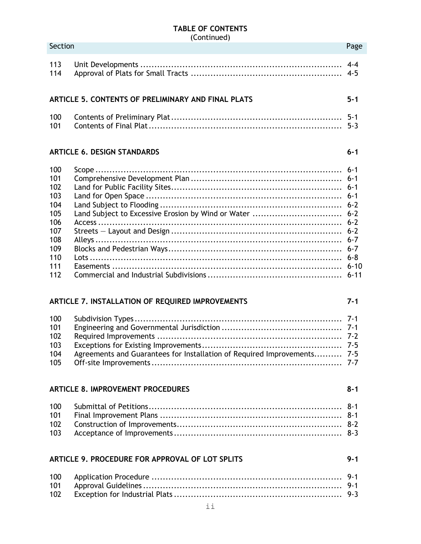### **TABLE OF CONTENTS**

|                                                                                         | (Continued)                                                             |         |
|-----------------------------------------------------------------------------------------|-------------------------------------------------------------------------|---------|
| Section                                                                                 |                                                                         | Page    |
| 113<br>114                                                                              |                                                                         |         |
|                                                                                         | ARTICLE 5. CONTENTS OF PRELIMINARY AND FINAL PLATS                      | $5 - 1$ |
| 100<br>101                                                                              |                                                                         |         |
|                                                                                         | <b>ARTICLE 6. DESIGN STANDARDS</b>                                      | $6 - 1$ |
| 100<br>101<br>102<br>103<br>104<br>105<br>106<br>107<br>108<br>109<br>110<br>111<br>112 | Land Subject to Excessive Erosion by Wind or Water  6-2                 |         |
|                                                                                         | ARTICLE 7. INSTALLATION OF REQUIRED IMPROVEMENTS                        | $7 - 1$ |
| 100<br>101<br>102<br>103<br>104<br>105                                                  | Agreements and Guarantees for Installation of Required Improvements 7-5 |         |
|                                                                                         | <b>ARTICLE 8. IMPROVEMENT PROCEDURES</b>                                | $8 - 1$ |
| 100<br>101<br>102<br>103                                                                |                                                                         |         |
| ARTICLE 9. PROCEDURE FOR APPROVAL OF LOT SPLITS<br>$9 - 1$                              |                                                                         |         |
| 100<br>101<br>102                                                                       |                                                                         |         |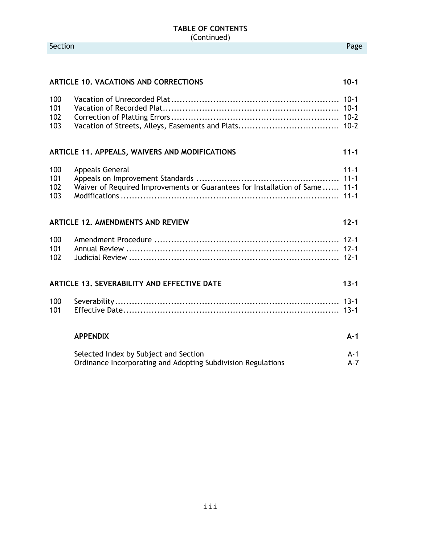#### **TABLE OF CONTENTS** (Continued)

|                          | <b>ARTICLE 10. VACATIONS AND CORRECTIONS</b>                                                          | $10 - 1$       |
|--------------------------|-------------------------------------------------------------------------------------------------------|----------------|
| 100<br>101<br>102<br>103 |                                                                                                       |                |
|                          | ARTICLE 11. APPEALS, WAIVERS AND MODIFICATIONS                                                        | $11 - 1$       |
| 100<br>101<br>102<br>103 | <b>Appeals General</b><br>Waiver of Required Improvements or Guarantees for Installation of Same 11-1 | $11 - 1$       |
|                          | <b>ARTICLE 12, AMENDMENTS AND REVIEW</b>                                                              | $12 - 1$       |
| 100<br>101<br>102        |                                                                                                       |                |
|                          | ARTICLE 13. SEVERABILITY AND EFFECTIVE DATE                                                           | $13 - 1$       |
| 100<br>101               |                                                                                                       |                |
|                          | <b>APPENDIX</b>                                                                                       | $A-1$          |
|                          | Selected Index by Subject and Section<br>Ordinance Incorporating and Adopting Subdivision Regulations | $A-1$<br>$A-7$ |

iii

Section **Page**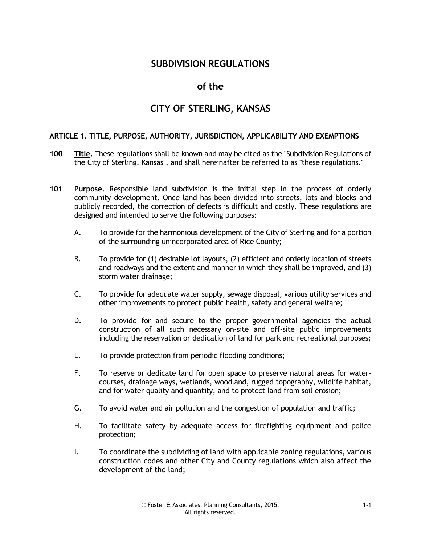#### **SUBDIVISION REGULATIONS**

#### **of the**

#### **CITY OF STERLING, KANSAS**

#### **ARTICLE 1. TITLE, PURPOSE, AUTHORITY, JURISDICTION, APPLICABILITY AND EXEMPTIONS**

- **100 Title.** These regulations shall be known and may be cited as the "Subdivision Regulations of the City of Sterling, Kansas", and shall hereinafter be referred to as "these regulations."
- **101 Purpose.** Responsible land subdivision is the initial step in the process of orderly community development. Once land has been divided into streets, lots and blocks and publicly recorded, the correction of defects is difficult and costly. These regulations are designed and intended to serve the following purposes:
	- A. To provide for the harmonious development of the City of Sterling and for a portion of the surrounding unincorporated area of Rice County;
	- B. To provide for (1) desirable lot layouts, (2) efficient and orderly location of streets and roadways and the extent and manner in which they shall be improved, and (3) storm water drainage;
	- C. To provide for adequate water supply, sewage disposal, various utility services and other improvements to protect public health, safety and general welfare;
	- D. To provide for and secure to the proper governmental agencies the actual construction of all such necessary on-site and off-site public improvements including the reservation or dedication of land for park and recreational purposes;
	- E. To provide protection from periodic flooding conditions;
	- F. To reserve or dedicate land for open space to preserve natural areas for watercourses, drainage ways, wetlands, woodland, rugged topography, wildlife habitat, and for water quality and quantity, and to protect land from soil erosion;
	- G. To avoid water and air pollution and the congestion of population and traffic;
	- H. To facilitate safety by adequate access for firefighting equipment and police protection;
	- I. To coordinate the subdividing of land with applicable zoning regulations, various construction codes and other City and County regulations which also affect the development of the land;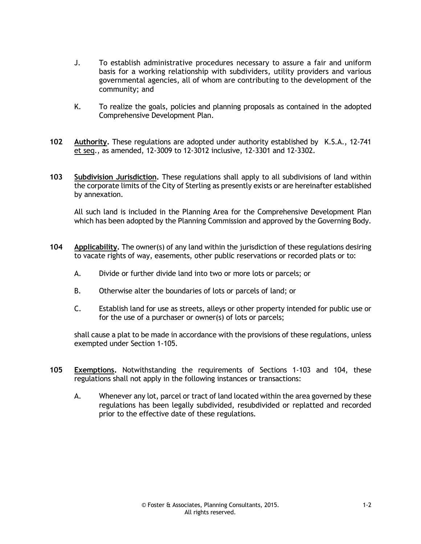- J. To establish administrative procedures necessary to assure a fair and uniform basis for a working relationship with subdividers, utility providers and various governmental agencies, all of whom are contributing to the development of the community; and
- K. To realize the goals, policies and planning proposals as contained in the adopted Comprehensive Development Plan.
- **102 Authority.** These regulations are adopted under authority established by K.S.A., 12-741 et seq., as amended, 12-3009 to 12-3012 inclusive, 12-3301 and 12-3302.
- **103 Subdivision Jurisdiction.** These regulations shall apply to all subdivisions of land within the corporate limits of the City of Sterling as presently exists or are hereinafter established by annexation.

All such land is included in the Planning Area for the Comprehensive Development Plan which has been adopted by the Planning Commission and approved by the Governing Body.

- **104 Applicability.** The owner(s) of any land within the jurisdiction of these regulations desiring to vacate rights of way, easements, other public reservations or recorded plats or to:
	- A. Divide or further divide land into two or more lots or parcels; or
	- B. Otherwise alter the boundaries of lots or parcels of land; or
	- C. Establish land for use as streets, alleys or other property intended for public use or for the use of a purchaser or owner(s) of lots or parcels;

shall cause a plat to be made in accordance with the provisions of these regulations, unless exempted under Section 1-105.

- **105 Exemptions.** Notwithstanding the requirements of Sections 1-103 and 104, these regulations shall not apply in the following instances or transactions:
	- A. Whenever any lot, parcel or tract of land located within the area governed by these regulations has been legally subdivided, resubdivided or replatted and recorded prior to the effective date of these regulations.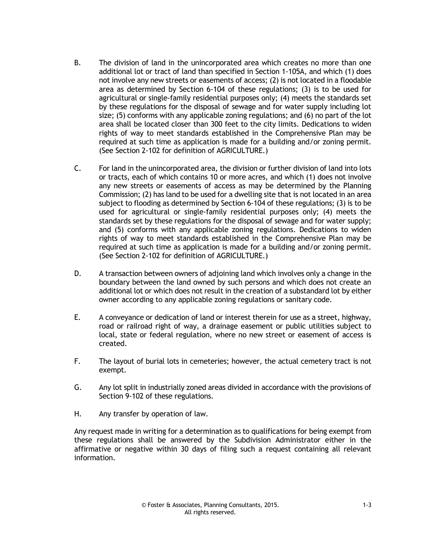- B. The division of land in the unincorporated area which creates no more than one additional lot or tract of land than specified in Section 1-105A, and which (1) does not involve any new streets or easements of access; (2) is not located in a floodable area as determined by Section 6-104 of these regulations; (3) is to be used for agricultural or single-family residential purposes only; (4) meets the standards set by these regulations for the disposal of sewage and for water supply including lot size; (5) conforms with any applicable zoning regulations; and (6) no part of the lot area shall be located closer than 300 feet to the city limits. Dedications to widen rights of way to meet standards established in the Comprehensive Plan may be required at such time as application is made for a building and/or zoning permit. (See Section 2-102 for definition of AGRICULTURE.)
- C. For land in the unincorporated area, the division or further division of land into lots or tracts, each of which contains 10 or more acres, and which (1) does not involve any new streets or easements of access as may be determined by the Planning Commission; (2) has land to be used for a dwelling site that is not located in an area subject to flooding as determined by Section 6-104 of these regulations; (3) is to be used for agricultural or single-family residential purposes only; (4) meets the standards set by these regulations for the disposal of sewage and for water supply; and (5) conforms with any applicable zoning regulations. Dedications to widen rights of way to meet standards established in the Comprehensive Plan may be required at such time as application is made for a building and/or zoning permit. (See Section 2-102 for definition of AGRICULTURE.)
- D. A transaction between owners of adjoining land which involves only a change in the boundary between the land owned by such persons and which does not create an additional lot or which does not result in the creation of a substandard lot by either owner according to any applicable zoning regulations or sanitary code.
- E. A conveyance or dedication of land or interest therein for use as a street, highway, road or railroad right of way, a drainage easement or public utilities subject to local, state or federal regulation, where no new street or easement of access is created.
- F. The layout of burial lots in cemeteries; however, the actual cemetery tract is not exempt.
- G. Any lot split in industrially zoned areas divided in accordance with the provisions of Section 9-102 of these regulations.
- H. Any transfer by operation of law.

Any request made in writing for a determination as to qualifications for being exempt from these regulations shall be answered by the Subdivision Administrator either in the affirmative or negative within 30 days of filing such a request containing all relevant information.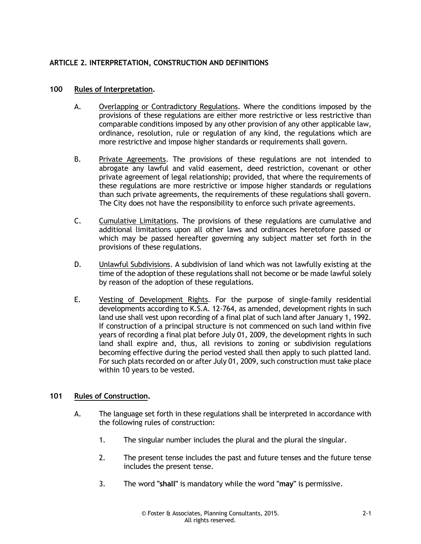#### **ARTICLE 2. INTERPRETATION, CONSTRUCTION AND DEFINITIONS**

#### **100 Rules of Interpretation.**

- A. Overlapping or Contradictory Regulations. Where the conditions imposed by the provisions of these regulations are either more restrictive or less restrictive than comparable conditions imposed by any other provision of any other applicable law, ordinance, resolution, rule or regulation of any kind, the regulations which are more restrictive and impose higher standards or requirements shall govern.
- B. Private Agreements. The provisions of these regulations are not intended to abrogate any lawful and valid easement, deed restriction, covenant or other private agreement of legal relationship; provided, that where the requirements of these regulations are more restrictive or impose higher standards or regulations than such private agreements, the requirements of these regulations shall govern. The City does not have the responsibility to enforce such private agreements.
- C. Cumulative Limitations. The provisions of these regulations are cumulative and additional limitations upon all other laws and ordinances heretofore passed or which may be passed hereafter governing any subject matter set forth in the provisions of these regulations.
- D. Unlawful Subdivisions. A subdivision of land which was not lawfully existing at the time of the adoption of these regulations shall not become or be made lawful solely by reason of the adoption of these regulations.
- E. Vesting of Development Rights. For the purpose of single-family residential developments according to K.S.A. 12-764, as amended, development rights in such land use shall vest upon recording of a final plat of such land after January 1, 1992. If construction of a principal structure is not commenced on such land within five years of recording a final plat before July 01, 2009, the development rights in such land shall expire and, thus, all revisions to zoning or subdivision regulations becoming effective during the period vested shall then apply to such platted land. For such plats recorded on or after July 01, 2009, such construction must take place within 10 years to be vested.

#### **101 Rules of Construction.**

- A. The language set forth in these regulations shall be interpreted in accordance with the following rules of construction:
	- 1. The singular number includes the plural and the plural the singular.
	- 2. The present tense includes the past and future tenses and the future tense includes the present tense.
	- 3. The word **"shall"** is mandatory while the word **"may"** is permissive.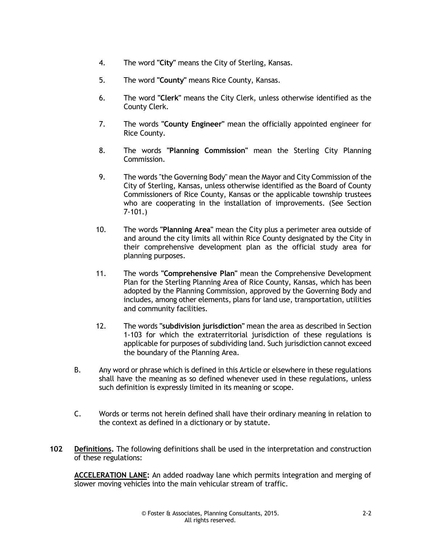- 4. The word **"City"** means the City of Sterling, Kansas.
- 5. The word **"County"** means Rice County, Kansas.
- 6. The word **"Clerk"** means the City Clerk, unless otherwise identified as the County Clerk.
- 7. The words **"County Engineer"** mean the officially appointed engineer for Rice County.
- 8. The words **"Planning Commission"** mean the Sterling City Planning Commission.
- 9. The words "the Governing Body" mean the Mayor and City Commission of the City of Sterling, Kansas, unless otherwise identified as the Board of County Commissioners of Rice County, Kansas or the applicable township trustees who are cooperating in the installation of improvements. (See Section 7-101.)
- 10. The words **"Planning Area"** mean the City plus a perimeter area outside of and around the city limits all within Rice County designated by the City in their comprehensive development plan as the official study area for planning purposes.
- 11. The words **"Comprehensive Plan"** mean the Comprehensive Development Plan for the Sterling Planning Area of Rice County, Kansas, which has been adopted by the Planning Commission, approved by the Governing Body and includes, among other elements, plans for land use, transportation, utilities and community facilities.
- 12. The words **"subdivision jurisdiction"** mean the area as described in Section 1-103 for which the extraterritorial jurisdiction of these regulations is applicable for purposes of subdividing land. Such jurisdiction cannot exceed the boundary of the Planning Area.
- B. Any word or phrase which is defined in this Article or elsewhere in these regulations shall have the meaning as so defined whenever used in these regulations, unless such definition is expressly limited in its meaning or scope.
- C. Words or terms not herein defined shall have their ordinary meaning in relation to the context as defined in a dictionary or by statute.
- **102 Definitions.** The following definitions shall be used in the interpretation and construction of these regulations:

**ACCELERATION LANE:** An added roadway lane which permits integration and merging of slower moving vehicles into the main vehicular stream of traffic.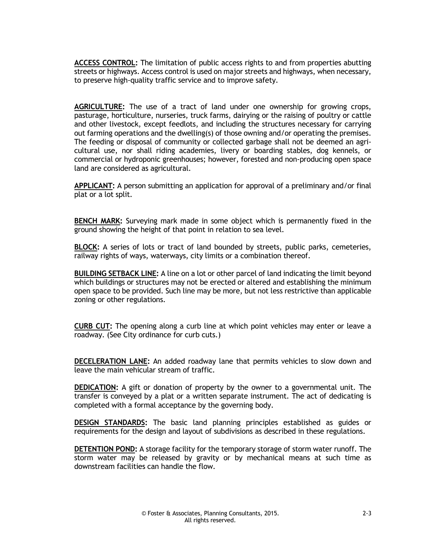**ACCESS CONTROL:** The limitation of public access rights to and from properties abutting streets or highways. Access control is used on major streets and highways, when necessary, to preserve high-quality traffic service and to improve safety.

**AGRICULTURE:** The use of a tract of land under one ownership for growing crops, pasturage, horticulture, nurseries, truck farms, dairying or the raising of poultry or cattle and other livestock, except feedlots, and including the structures necessary for carrying out farming operations and the dwelling(s) of those owning and/or operating the premises. The feeding or disposal of community or collected garbage shall not be deemed an agricultural use, nor shall riding academies, livery or boarding stables, dog kennels, or commercial or hydroponic greenhouses; however, forested and non-producing open space land are considered as agricultural.

**APPLICANT:** A person submitting an application for approval of a preliminary and/or final plat or a lot split.

**BENCH MARK:** Surveying mark made in some object which is permanently fixed in the ground showing the height of that point in relation to sea level.

**BLOCK:** A series of lots or tract of land bounded by streets, public parks, cemeteries, railway rights of ways, waterways, city limits or a combination thereof.

**BUILDING SETBACK LINE:** A line on a lot or other parcel of land indicating the limit beyond which buildings or structures may not be erected or altered and establishing the minimum open space to be provided. Such line may be more, but not less restrictive than applicable zoning or other regulations.

**CURB CUT:** The opening along a curb line at which point vehicles may enter or leave a roadway. (See City ordinance for curb cuts.)

**DECELERATION LANE:** An added roadway lane that permits vehicles to slow down and leave the main vehicular stream of traffic.

**DEDICATION:** A gift or donation of property by the owner to a governmental unit. The transfer is conveyed by a plat or a written separate instrument. The act of dedicating is completed with a formal acceptance by the governing body.

**DESIGN STANDARDS:** The basic land planning principles established as guides or requirements for the design and layout of subdivisions as described in these regulations.

**DETENTION POND:** A storage facility for the temporary storage of storm water runoff. The storm water may be released by gravity or by mechanical means at such time as downstream facilities can handle the flow.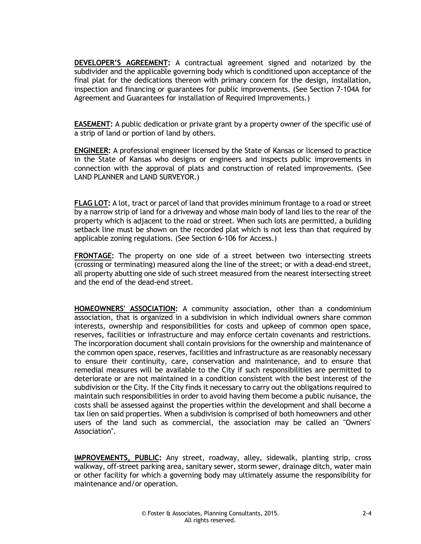**DEVELOPER'S AGREEMENT:** A contractual agreement signed and notarized by the subdivider and the applicable governing body which is conditioned upon acceptance of the final plat for the dedications thereon with primary concern for the design, installation, inspection and financing or guarantees for public improvements. (See Section 7-104A for Agreement and Guarantees for installation of Required Improvements.)

**EASEMENT:** A public dedication or private grant by a property owner of the specific use of a strip of land or portion of land by others.

**ENGINEER:** A professional engineer licensed by the State of Kansas or licensed to practice in the State of Kansas who designs or engineers and inspects public improvements in connection with the approval of plats and construction of related improvements. (See LAND PLANNER and LAND SURVEYOR.)

**FLAG LOT:** A lot, tract or parcel of land that provides minimum frontage to a road or street by a narrow strip of land for a driveway and whose main body of land lies to the rear of the property which is adjacent to the road or street. When such lots are permitted, a building setback line must be shown on the recorded plat which is not less than that required by applicable zoning regulations. (See Section 6-106 for Access.)

**FRONTAGE:** The property on one side of a street between two intersecting streets (crossing or terminating) measured along the line of the street; or with a dead-end street, all property abutting one side of such street measured from the nearest intersecting street and the end of the dead-end street.

**HOMEOWNERS' ASSOCIATION:** A community association, other than a condominium association, that is organized in a subdivision in which individual owners share common interests, ownership and responsibilities for costs and upkeep of common open space, reserves, facilities or infrastructure and may enforce certain covenants and restrictions. The incorporation document shall contain provisions for the ownership and maintenance of the common open space, reserves, facilities and infrastructure as are reasonably necessary to ensure their continuity, care, conservation and maintenance, and to ensure that remedial measures will be available to the City if such responsibilities are permitted to deteriorate or are not maintained in a condition consistent with the best interest of the subdivision or the City. If the City finds it necessary to carry out the obligations required to maintain such responsibilities in order to avoid having them become a public nuisance, the costs shall be assessed against the properties within the development and shall become a tax lien on said properties. When a subdivision is comprised of both homeowners and other users of the land such as commercial, the association may be called an "Owners' Association".

**IMPROVEMENTS, PUBLIC:** Any street, roadway, alley, sidewalk, planting strip, cross walkway, off-street parking area, sanitary sewer, storm sewer, drainage ditch, water main or other facility for which a governing body may ultimately assume the responsibility for maintenance and/or operation.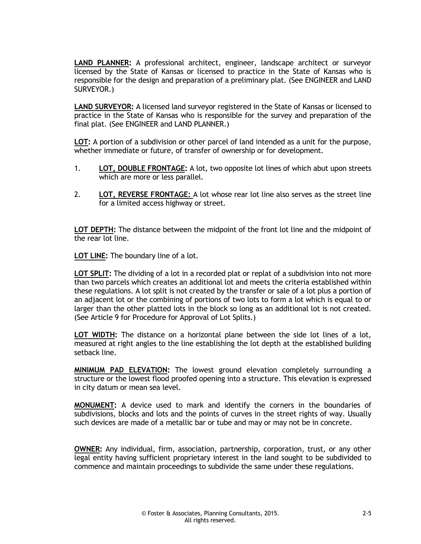**LAND PLANNER:** A professional architect, engineer, landscape architect or surveyor licensed by the State of Kansas or licensed to practice in the State of Kansas who is responsible for the design and preparation of a preliminary plat. (See ENGINEER and LAND SURVEYOR.)

**LAND SURVEYOR:** A licensed land surveyor registered in the State of Kansas or licensed to practice in the State of Kansas who is responsible for the survey and preparation of the final plat. (See ENGINEER and LAND PLANNER.)

**LOT:** A portion of a subdivision or other parcel of land intended as a unit for the purpose, whether immediate or future, of transfer of ownership or for development.

- 1. **LOT, DOUBLE FRONTAGE:** A lot, two opposite lot lines of which abut upon streets which are more or less parallel.
- 2. **LOT, REVERSE FRONTAGE:** A lot whose rear lot line also serves as the street line for a limited access highway or street.

**LOT DEPTH:** The distance between the midpoint of the front lot line and the midpoint of the rear lot line.

**LOT LINE:** The boundary line of a lot.

**LOT SPLIT:** The dividing of a lot in a recorded plat or replat of a subdivision into not more than two parcels which creates an additional lot and meets the criteria established within these regulations. A lot split is not created by the transfer or sale of a lot plus a portion of an adjacent lot or the combining of portions of two lots to form a lot which is equal to or larger than the other platted lots in the block so long as an additional lot is not created. (See Article 9 for Procedure for Approval of Lot Splits.)

**LOT WIDTH:** The distance on a horizontal plane between the side lot lines of a lot, measured at right angles to the line establishing the lot depth at the established building setback line.

**MINIMUM PAD ELEVATION:** The lowest ground elevation completely surrounding a structure or the lowest flood proofed opening into a structure. This elevation is expressed in city datum or mean sea level.

**MONUMENT:** A device used to mark and identify the corners in the boundaries of subdivisions, blocks and lots and the points of curves in the street rights of way. Usually such devices are made of a metallic bar or tube and may or may not be in concrete.

**OWNER:** Any individual, firm, association, partnership, corporation, trust, or any other legal entity having sufficient proprietary interest in the land sought to be subdivided to commence and maintain proceedings to subdivide the same under these regulations.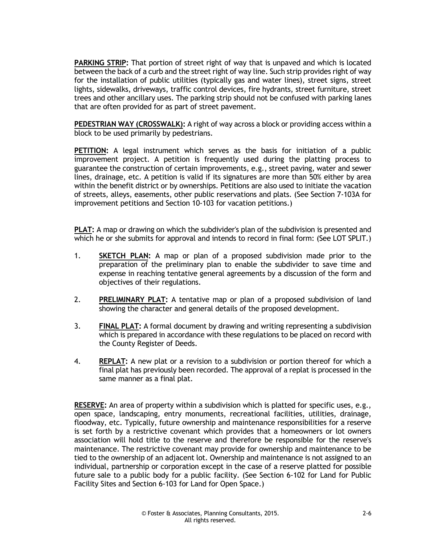**PARKING STRIP:** That portion of street right of way that is unpaved and which is located between the back of a curb and the street right of way line. Such strip provides right of way for the installation of public utilities (typically gas and water lines), street signs, street lights, sidewalks, driveways, traffic control devices, fire hydrants, street furniture, street trees and other ancillary uses. The parking strip should not be confused with parking lanes that are often provided for as part of street pavement.

**PEDESTRIAN WAY (CROSSWALK):** A right of way across a block or providing access within a block to be used primarily by pedestrians.

**PETITION:** A legal instrument which serves as the basis for initiation of a public improvement project. A petition is frequently used during the platting process to guarantee the construction of certain improvements, e.g., street paving, water and sewer lines, drainage, etc. A petition is valid if its signatures are more than 50% either by area within the benefit district or by ownerships. Petitions are also used to initiate the vacation of streets, alleys, easements, other public reservations and plats. (See Section 7-103A for improvement petitions and Section 10-103 for vacation petitions.)

**PLAT:** A map or drawing on which the subdivider's plan of the subdivision is presented and which he or she submits for approval and intends to record in final form: (See LOT SPLIT.)

- 1. **SKETCH PLAN:** A map or plan of a proposed subdivision made prior to the preparation of the preliminary plan to enable the subdivider to save time and expense in reaching tentative general agreements by a discussion of the form and objectives of their regulations.
- 2. **PRELIMINARY PLAT:** A tentative map or plan of a proposed subdivision of land showing the character and general details of the proposed development.
- 3. **FINAL PLAT:** A formal document by drawing and writing representing a subdivision which is prepared in accordance with these regulations to be placed on record with the County Register of Deeds.
- 4. **REPLAT:** A new plat or a revision to a subdivision or portion thereof for which a final plat has previously been recorded. The approval of a replat is processed in the same manner as a final plat.

**RESERVE:** An area of property within a subdivision which is platted for specific uses, e.g., open space, landscaping, entry monuments, recreational facilities, utilities, drainage, floodway, etc. Typically, future ownership and maintenance responsibilities for a reserve is set forth by a restrictive covenant which provides that a homeowners or lot owners association will hold title to the reserve and therefore be responsible for the reserve's maintenance. The restrictive covenant may provide for ownership and maintenance to be tied to the ownership of an adjacent lot. Ownership and maintenance is not assigned to an individual, partnership or corporation except in the case of a reserve platted for possible future sale to a public body for a public facility. (See Section 6-102 for Land for Public Facility Sites and Section 6-103 for Land for Open Space.)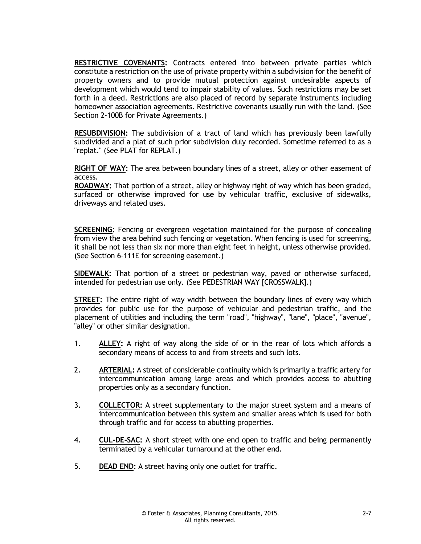**RESTRICTIVE COVENANTS:** Contracts entered into between private parties which constitute a restriction on the use of private property within a subdivision for the benefit of property owners and to provide mutual protection against undesirable aspects of development which would tend to impair stability of values. Such restrictions may be set forth in a deed. Restrictions are also placed of record by separate instruments including homeowner association agreements. Restrictive covenants usually run with the land. (See Section 2-100B for Private Agreements.)

**RESUBDIVISION:** The subdivision of a tract of land which has previously been lawfully subdivided and a plat of such prior subdivision duly recorded. Sometime referred to as a "replat." (See PLAT for REPLAT.)

**RIGHT OF WAY:** The area between boundary lines of a street, alley or other easement of access.

**ROADWAY:** That portion of a street, alley or highway right of way which has been graded, surfaced or otherwise improved for use by vehicular traffic, exclusive of sidewalks, driveways and related uses.

**SCREENING:** Fencing or evergreen vegetation maintained for the purpose of concealing from view the area behind such fencing or vegetation. When fencing is used for screening, it shall be not less than six nor more than eight feet in height, unless otherwise provided. (See Section 6-111E for screening easement.)

**SIDEWALK:** That portion of a street or pedestrian way, paved or otherwise surfaced, intended for pedestrian use only. (See PEDESTRIAN WAY [CROSSWALK].)

**STREET:** The entire right of way width between the boundary lines of every way which provides for public use for the purpose of vehicular and pedestrian traffic, and the placement of utilities and including the term "road", "highway", "lane", "place", "avenue", "alley" or other similar designation.

- 1. **ALLEY:** A right of way along the side of or in the rear of lots which affords a secondary means of access to and from streets and such lots.
- 2. **ARTERIAL:** A street of considerable continuity which is primarily a traffic artery for intercommunication among large areas and which provides access to abutting properties only as a secondary function.
- 3. **COLLECTOR:** A street supplementary to the major street system and a means of intercommunication between this system and smaller areas which is used for both through traffic and for access to abutting properties.
- 4. **CUL-DE-SAC:** A short street with one end open to traffic and being permanently terminated by a vehicular turnaround at the other end.
- 5. **DEAD END:** A street having only one outlet for traffic.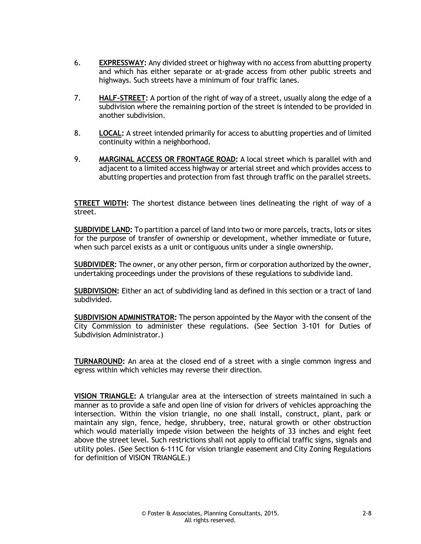- 6. **EXPRESSWAY:** Any divided street or highway with no access from abutting property and which has either separate or at-grade access from other public streets and highways. Such streets have a minimum of four traffic lanes.
- 7. **HALF-STREET:** A portion of the right of way of a street, usually along the edge of a subdivision where the remaining portion of the street is intended to be provided in another subdivision.
- 8. **LOCAL:** A street intended primarily for access to abutting properties and of limited continuity within a neighborhood.
- 9. **MARGINAL ACCESS OR FRONTAGE ROAD:** A local street which is parallel with and adjacent to a limited access highway or arterial street and which provides access to abutting properties and protection from fast through traffic on the parallel streets.

**STREET WIDTH:** The shortest distance between lines delineating the right of way of a street.

**SUBDIVIDE LAND:** To partition a parcel of land into two or more parcels, tracts, lots or sites for the purpose of transfer of ownership or development, whether immediate or future, when such parcel exists as a unit or contiguous units under a single ownership.

**SUBDIVIDER:** The owner, or any other person, firm or corporation authorized by the owner, undertaking proceedings under the provisions of these regulations to subdivide land.

**SUBDIVISION:** Either an act of subdividing land as defined in this section or a tract of land subdivided.

**SUBDIVISION ADMINISTRATOR:** The person appointed by the Mayor with the consent of the City Commission to administer these regulations. (See Section 3-101 for Duties of Subdivision Administrator.)

**TURNAROUND:** An area at the closed end of a street with a single common ingress and egress within which vehicles may reverse their direction.

**VISION TRIANGLE:** A triangular area at the intersection of streets maintained in such a manner as to provide a safe and open line of vision for drivers of vehicles approaching the intersection. Within the vision triangle, no one shall install, construct, plant, park or maintain any sign, fence, hedge, shrubbery, tree, natural growth or other obstruction which would materially impede vision between the heights of 33 inches and eight feet above the street level. Such restrictions shall not apply to official traffic signs, signals and utility poles. (See Section 6-111C for vision triangle easement and City Zoning Regulations for definition of VISION TRIANGLE.)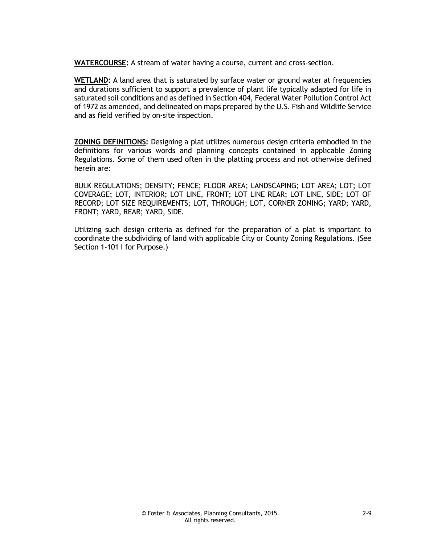**WATERCOURSE:** A stream of water having a course, current and cross-section.

**WETLAND:** A land area that is saturated by surface water or ground water at frequencies and durations sufficient to support a prevalence of plant life typically adapted for life in saturated soil conditions and as defined in Section 404, Federal Water Pollution Control Act of 1972 as amended, and delineated on maps prepared by the U.S. Fish and Wildlife Service and as field verified by on-site inspection.

**ZONING DEFINITIONS:** Designing a plat utilizes numerous design criteria embodied in the definitions for various words and planning concepts contained in applicable Zoning Regulations. Some of them used often in the platting process and not otherwise defined herein are:

BULK REGULATIONS; DENSITY; FENCE; FLOOR AREA; LANDSCAPING; LOT AREA; LOT; LOT COVERAGE; LOT, INTERIOR; LOT LINE, FRONT; LOT LINE REAR; LOT LINE, SIDE; LOT OF RECORD; LOT SIZE REQUIREMENTS; LOT, THROUGH; LOT, CORNER ZONING; YARD; YARD, FRONT; YARD, REAR; YARD, SIDE.

Utilizing such design criteria as defined for the preparation of a plat is important to coordinate the subdividing of land with applicable City or County Zoning Regulations. (See Section 1-101 I for Purpose.)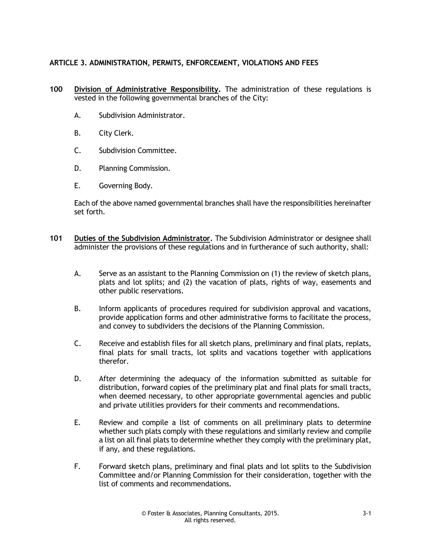#### **ARTICLE 3. ADMINISTRATION, PERMITS, ENFORCEMENT, VIOLATIONS AND FEES**

- **100 Division of Administrative Responsibility.** The administration of these regulations is vested in the following governmental branches of the City:
	- A. Subdivision Administrator.
	- B. City Clerk.
	- C. Subdivision Committee.
	- D. Planning Commission.
	- E. Governing Body.

Each of the above named governmental branches shall have the responsibilities hereinafter set forth.

- **101 Duties of the Subdivision Administrator.** The Subdivision Administrator or designee shall administer the provisions of these regulations and in furtherance of such authority, shall:
	- A. Serve as an assistant to the Planning Commission on (1) the review of sketch plans, plats and lot splits; and (2) the vacation of plats, rights of way, easements and other public reservations.
	- B. Inform applicants of procedures required for subdivision approval and vacations, provide application forms and other administrative forms to facilitate the process, and convey to subdividers the decisions of the Planning Commission.
	- C. Receive and establish files for all sketch plans, preliminary and final plats, replats, final plats for small tracts, lot splits and vacations together with applications therefor.
	- D. After determining the adequacy of the information submitted as suitable for distribution, forward copies of the preliminary plat and final plats for small tracts, when deemed necessary, to other appropriate governmental agencies and public and private utilities providers for their comments and recommendations.
	- E. Review and compile a list of comments on all preliminary plats to determine whether such plats comply with these regulations and similarly review and compile a list on all final plats to determine whether they comply with the preliminary plat, if any, and these regulations.
	- F. Forward sketch plans, preliminary and final plats and lot splits to the Subdivision Committee and/or Planning Commission for their consideration, together with the list of comments and recommendations.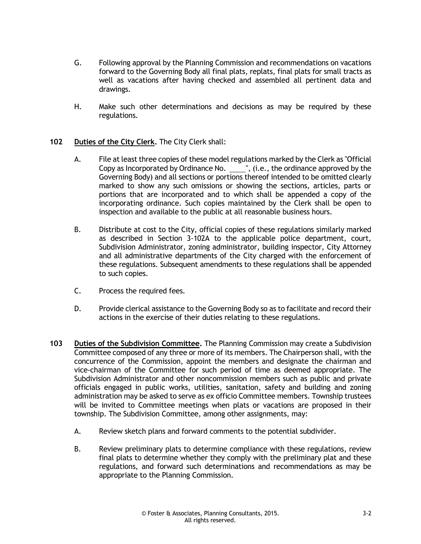- G. Following approval by the Planning Commission and recommendations on vacations forward to the Governing Body all final plats, replats, final plats for small tracts as well as vacations after having checked and assembled all pertinent data and drawings.
- H. Make such other determinations and decisions as may be required by these regulations.

#### **102 Duties of the City Clerk.** The City Clerk shall:

- A. File at least three copies of these model regulations marked by the Clerk as "Official Copy as Incorporated by Ordinance No.  $\frac{1}{\sqrt{1-\frac{1}{n}}}$ , (i.e., the ordinance approved by the Governing Body) and all sections or portions thereof intended to be omitted clearly marked to show any such omissions or showing the sections, articles, parts or portions that are incorporated and to which shall be appended a copy of the incorporating ordinance. Such copies maintained by the Clerk shall be open to inspection and available to the public at all reasonable business hours.
- B. Distribute at cost to the City, official copies of these regulations similarly marked as described in Section 3-102A to the applicable police department, court, Subdivision Administrator, zoning administrator, building inspector, City Attorney and all administrative departments of the City charged with the enforcement of these regulations. Subsequent amendments to these regulations shall be appended to such copies.
- C. Process the required fees.
- D. Provide clerical assistance to the Governing Body so as to facilitate and record their actions in the exercise of their duties relating to these regulations.
- **103 Duties of the Subdivision Committee.** The Planning Commission may create a Subdivision Committee composed of any three or more of its members. The Chairperson shall, with the concurrence of the Commission, appoint the members and designate the chairman and vice-chairman of the Committee for such period of time as deemed appropriate. The Subdivision Administrator and other noncommission members such as public and private officials engaged in public works, utilities, sanitation, safety and building and zoning administration may be asked to serve as ex officio Committee members. Township trustees will be invited to Committee meetings when plats or vacations are proposed in their township. The Subdivision Committee, among other assignments, may:
	- A. Review sketch plans and forward comments to the potential subdivider.
	- B. Review preliminary plats to determine compliance with these regulations, review final plats to determine whether they comply with the preliminary plat and these regulations, and forward such determinations and recommendations as may be appropriate to the Planning Commission.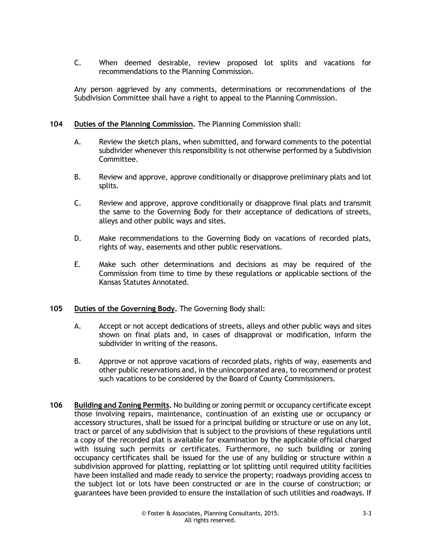C. When deemed desirable, review proposed lot splits and vacations for recommendations to the Planning Commission.

Any person aggrieved by any comments, determinations or recommendations of the Subdivision Committee shall have a right to appeal to the Planning Commission.

#### **104 Duties of the Planning Commission.** The Planning Commission shall:

- A. Review the sketch plans, when submitted, and forward comments to the potential subdivider whenever this responsibility is not otherwise performed by a Subdivision Committee.
- B. Review and approve, approve conditionally or disapprove preliminary plats and lot splits.
- C. Review and approve, approve conditionally or disapprove final plats and transmit the same to the Governing Body for their acceptance of dedications of streets, alleys and other public ways and sites.
- D. Make recommendations to the Governing Body on vacations of recorded plats, rights of way, easements and other public reservations.
- E. Make such other determinations and decisions as may be required of the Commission from time to time by these regulations or applicable sections of the Kansas Statutes Annotated.

#### **105 Duties of the Governing Body.** The Governing Body shall:

- A. Accept or not accept dedications of streets, alleys and other public ways and sites shown on final plats and, in cases of disapproval or modification, inform the subdivider in writing of the reasons.
- B. Approve or not approve vacations of recorded plats, rights of way, easements and other public reservations and, in the unincorporated area, to recommend or protest such vacations to be considered by the Board of County Commissioners.
- **106 Building and Zoning Permits.** No building or zoning permit or occupancy certificate except those involving repairs, maintenance, continuation of an existing use or occupancy or accessory structures, shall be issued for a principal building or structure or use on any lot, tract or parcel of any subdivision that is subject to the provisions of these regulations until a copy of the recorded plat is available for examination by the applicable official charged with issuing such permits or certificates. Furthermore, no such building or zoning occupancy certificates shall be issued for the use of any building or structure within a subdivision approved for platting, replatting or lot splitting until required utility facilities have been installed and made ready to service the property; roadways providing access to the subject lot or lots have been constructed or are in the course of construction; or guarantees have been provided to ensure the installation of such utilities and roadways. If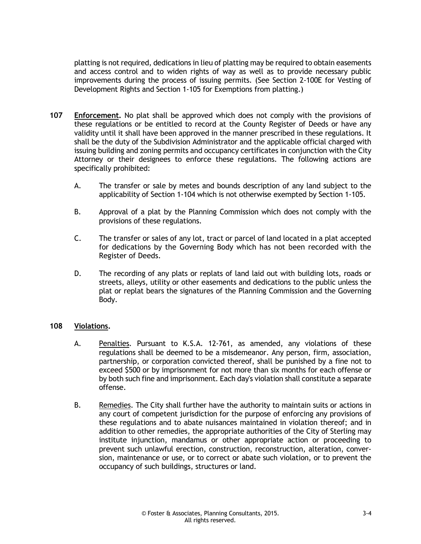platting is not required, dedications in lieu of platting may be required to obtain easements and access control and to widen rights of way as well as to provide necessary public improvements during the process of issuing permits. (See Section 2-100E for Vesting of Development Rights and Section 1-105 for Exemptions from platting.)

- **107 Enforcement.** No plat shall be approved which does not comply with the provisions of these regulations or be entitled to record at the County Register of Deeds or have any validity until it shall have been approved in the manner prescribed in these regulations. It shall be the duty of the Subdivision Administrator and the applicable official charged with issuing building and zoning permits and occupancy certificates in conjunction with the City Attorney or their designees to enforce these regulations. The following actions are specifically prohibited:
	- A. The transfer or sale by metes and bounds description of any land subject to the applicability of Section 1-104 which is not otherwise exempted by Section 1-105.
	- B. Approval of a plat by the Planning Commission which does not comply with the provisions of these regulations.
	- C. The transfer or sales of any lot, tract or parcel of land located in a plat accepted for dedications by the Governing Body which has not been recorded with the Register of Deeds.
	- D. The recording of any plats or replats of land laid out with building lots, roads or streets, alleys, utility or other easements and dedications to the public unless the plat or replat bears the signatures of the Planning Commission and the Governing Body.

#### **108 Violations.**

- A. Penalties. Pursuant to K.S.A. 12-761, as amended, any violations of these regulations shall be deemed to be a misdemeanor. Any person, firm, association, partnership, or corporation convicted thereof, shall be punished by a fine not to exceed \$500 or by imprisonment for not more than six months for each offense or by both such fine and imprisonment. Each day's violation shall constitute a separate offense.
- B. Remedies. The City shall further have the authority to maintain suits or actions in any court of competent jurisdiction for the purpose of enforcing any provisions of these regulations and to abate nuisances maintained in violation thereof; and in addition to other remedies, the appropriate authorities of the City of Sterling may institute injunction, mandamus or other appropriate action or proceeding to prevent such unlawful erection, construction, reconstruction, alteration, conversion, maintenance or use, or to correct or abate such violation, or to prevent the occupancy of such buildings, structures or land.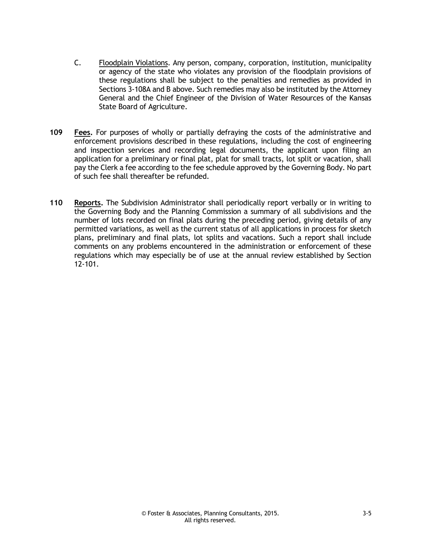- C. Floodplain Violations. Any person, company, corporation, institution, municipality or agency of the state who violates any provision of the floodplain provisions of these regulations shall be subject to the penalties and remedies as provided in Sections 3-108A and B above. Such remedies may also be instituted by the Attorney General and the Chief Engineer of the Division of Water Resources of the Kansas State Board of Agriculture.
- **109 Fees.** For purposes of wholly or partially defraying the costs of the administrative and enforcement provisions described in these regulations, including the cost of engineering and inspection services and recording legal documents, the applicant upon filing an application for a preliminary or final plat, plat for small tracts, lot split or vacation, shall pay the Clerk a fee according to the fee schedule approved by the Governing Body. No part of such fee shall thereafter be refunded.
- **110 Reports.** The Subdivision Administrator shall periodically report verbally or in writing to the Governing Body and the Planning Commission a summary of all subdivisions and the number of lots recorded on final plats during the preceding period, giving details of any permitted variations, as well as the current status of all applications in process for sketch plans, preliminary and final plats, lot splits and vacations. Such a report shall include comments on any problems encountered in the administration or enforcement of these regulations which may especially be of use at the annual review established by Section 12-101.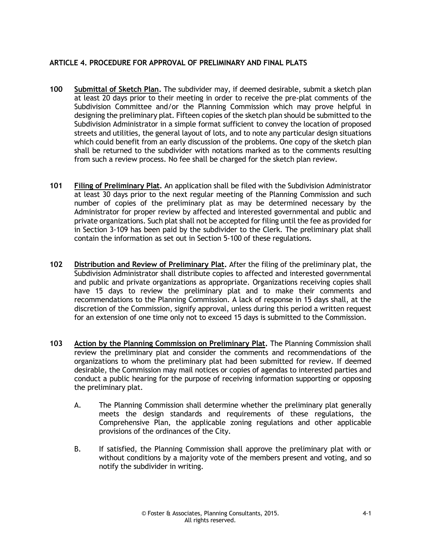#### **ARTICLE 4. PROCEDURE FOR APPROVAL OF PRELIMINARY AND FINAL PLATS**

- **100 Submittal of Sketch Plan.** The subdivider may, if deemed desirable, submit a sketch plan at least 20 days prior to their meeting in order to receive the pre-plat comments of the Subdivision Committee and/or the Planning Commission which may prove helpful in designing the preliminary plat. Fifteen copies of the sketch plan should be submitted to the Subdivision Administrator in a simple format sufficient to convey the location of proposed streets and utilities, the general layout of lots, and to note any particular design situations which could benefit from an early discussion of the problems. One copy of the sketch plan shall be returned to the subdivider with notations marked as to the comments resulting from such a review process. No fee shall be charged for the sketch plan review.
- **101 Filing of Preliminary Plat.** An application shall be filed with the Subdivision Administrator at least 30 days prior to the next regular meeting of the Planning Commission and such number of copies of the preliminary plat as may be determined necessary by the Administrator for proper review by affected and interested governmental and public and private organizations. Such plat shall not be accepted for filing until the fee as provided for in Section 3-109 has been paid by the subdivider to the Clerk. The preliminary plat shall contain the information as set out in Section 5-100 of these regulations.
- **102 Distribution and Review of Preliminary Plat.** After the filing of the preliminary plat, the Subdivision Administrator shall distribute copies to affected and interested governmental and public and private organizations as appropriate. Organizations receiving copies shall have 15 days to review the preliminary plat and to make their comments and recommendations to the Planning Commission. A lack of response in 15 days shall, at the discretion of the Commission, signify approval, unless during this period a written request for an extension of one time only not to exceed 15 days is submitted to the Commission.
- **103 Action by the Planning Commission on Preliminary Plat.** The Planning Commission shall review the preliminary plat and consider the comments and recommendations of the organizations to whom the preliminary plat had been submitted for review. If deemed desirable, the Commission may mail notices or copies of agendas to interested parties and conduct a public hearing for the purpose of receiving information supporting or opposing the preliminary plat.
	- A. The Planning Commission shall determine whether the preliminary plat generally meets the design standards and requirements of these regulations, the Comprehensive Plan, the applicable zoning regulations and other applicable provisions of the ordinances of the City.
	- B. If satisfied, the Planning Commission shall approve the preliminary plat with or without conditions by a majority vote of the members present and voting, and so notify the subdivider in writing.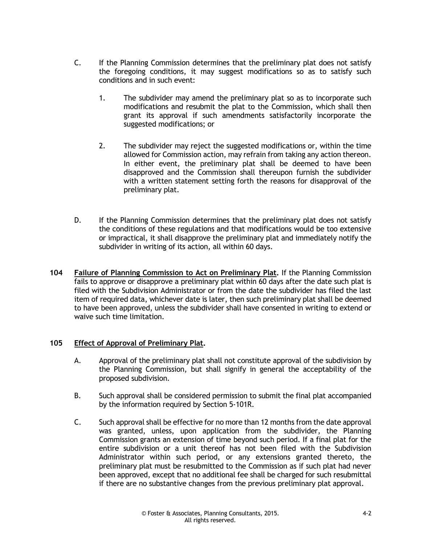- C. If the Planning Commission determines that the preliminary plat does not satisfy the foregoing conditions, it may suggest modifications so as to satisfy such conditions and in such event:
	- 1. The subdivider may amend the preliminary plat so as to incorporate such modifications and resubmit the plat to the Commission, which shall then grant its approval if such amendments satisfactorily incorporate the suggested modifications; or
	- 2. The subdivider may reject the suggested modifications or, within the time allowed for Commission action, may refrain from taking any action thereon. In either event, the preliminary plat shall be deemed to have been disapproved and the Commission shall thereupon furnish the subdivider with a written statement setting forth the reasons for disapproval of the preliminary plat.
- D. If the Planning Commission determines that the preliminary plat does not satisfy the conditions of these regulations and that modifications would be too extensive or impractical, it shall disapprove the preliminary plat and immediately notify the subdivider in writing of its action, all within 60 days.
- **104 Failure of Planning Commission to Act on Preliminary Plat.** If the Planning Commission fails to approve or disapprove a preliminary plat within 60 days after the date such plat is filed with the Subdivision Administrator or from the date the subdivider has filed the last item of required data, whichever date is later, then such preliminary plat shall be deemed to have been approved, unless the subdivider shall have consented in writing to extend or waive such time limitation.

#### **105 Effect of Approval of Preliminary Plat.**

- A. Approval of the preliminary plat shall not constitute approval of the subdivision by the Planning Commission, but shall signify in general the acceptability of the proposed subdivision.
- B. Such approval shall be considered permission to submit the final plat accompanied by the information required by Section 5-101R.
- C. Such approval shall be effective for no more than 12 months from the date approval was granted, unless, upon application from the subdivider, the Planning Commission grants an extension of time beyond such period. If a final plat for the entire subdivision or a unit thereof has not been filed with the Subdivision Administrator within such period, or any extensions granted thereto, the preliminary plat must be resubmitted to the Commission as if such plat had never been approved, except that no additional fee shall be charged for such resubmittal if there are no substantive changes from the previous preliminary plat approval.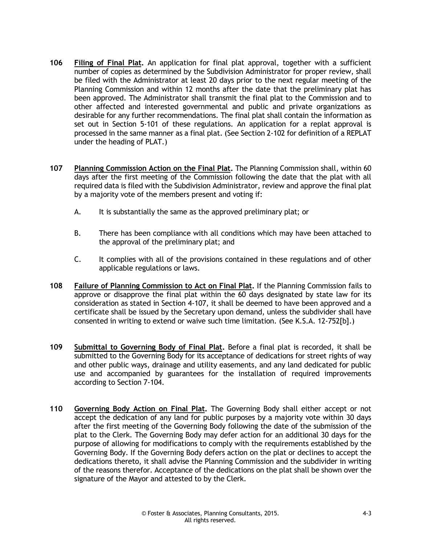- **106 Filing of Final Plat.** An application for final plat approval, together with a sufficient number of copies as determined by the Subdivision Administrator for proper review, shall be filed with the Administrator at least 20 days prior to the next regular meeting of the Planning Commission and within 12 months after the date that the preliminary plat has been approved. The Administrator shall transmit the final plat to the Commission and to other affected and interested governmental and public and private organizations as desirable for any further recommendations. The final plat shall contain the information as set out in Section 5-101 of these regulations. An application for a replat approval is processed in the same manner as a final plat. (See Section 2-102 for definition of a REPLAT under the heading of PLAT.)
- **107 Planning Commission Action on the Final Plat.** The Planning Commission shall, within 60 days after the first meeting of the Commission following the date that the plat with all required data is filed with the Subdivision Administrator, review and approve the final plat by a majority vote of the members present and voting if:
	- A. It is substantially the same as the approved preliminary plat; or
	- B. There has been compliance with all conditions which may have been attached to the approval of the preliminary plat; and
	- C. It complies with all of the provisions contained in these regulations and of other applicable regulations or laws.
- **108 Failure of Planning Commission to Act on Final Plat.** If the Planning Commission fails to approve or disapprove the final plat within the 60 days designated by state law for its consideration as stated in Section 4-107, it shall be deemed to have been approved and a certificate shall be issued by the Secretary upon demand, unless the subdivider shall have consented in writing to extend or waive such time limitation. (See K.S.A. 12-752[b].)
- **109 Submittal to Governing Body of Final Plat.** Before a final plat is recorded, it shall be submitted to the Governing Body for its acceptance of dedications for street rights of way and other public ways, drainage and utility easements, and any land dedicated for public use and accompanied by guarantees for the installation of required improvements according to Section 7-104.
- **110 Governing Body Action on Final Plat.** The Governing Body shall either accept or not accept the dedication of any land for public purposes by a majority vote within 30 days after the first meeting of the Governing Body following the date of the submission of the plat to the Clerk. The Governing Body may defer action for an additional 30 days for the purpose of allowing for modifications to comply with the requirements established by the Governing Body. If the Governing Body defers action on the plat or declines to accept the dedications thereto, it shall advise the Planning Commission and the subdivider in writing of the reasons therefor. Acceptance of the dedications on the plat shall be shown over the signature of the Mayor and attested to by the Clerk.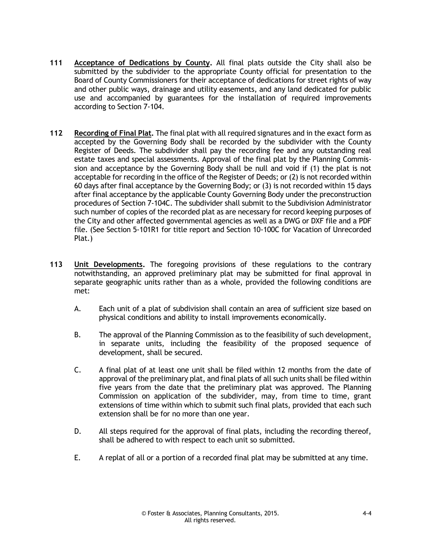- **111 Acceptance of Dedications by County.** All final plats outside the City shall also be submitted by the subdivider to the appropriate County official for presentation to the Board of County Commissioners for their acceptance of dedications for street rights of way and other public ways, drainage and utility easements, and any land dedicated for public use and accompanied by guarantees for the installation of required improvements according to Section 7-104.
- **112 Recording of Final Plat.** The final plat with all required signatures and in the exact form as accepted by the Governing Body shall be recorded by the subdivider with the County Register of Deeds. The subdivider shall pay the recording fee and any outstanding real estate taxes and special assessments. Approval of the final plat by the Planning Commission and acceptance by the Governing Body shall be null and void if (1) the plat is not acceptable for recording in the office of the Register of Deeds; or (2) is not recorded within 60 days after final acceptance by the Governing Body; or (3) is not recorded within 15 days after final acceptance by the applicable County Governing Body under the preconstruction procedures of Section 7-104C. The subdivider shall submit to the Subdivision Administrator such number of copies of the recorded plat as are necessary for record keeping purposes of the City and other affected governmental agencies as well as a DWG or DXF file and a PDF file. (See Section 5-101R1 for title report and Section 10-100C for Vacation of Unrecorded Plat.)
- **113 Unit Developments.** The foregoing provisions of these regulations to the contrary notwithstanding, an approved preliminary plat may be submitted for final approval in separate geographic units rather than as a whole, provided the following conditions are met:
	- A. Each unit of a plat of subdivision shall contain an area of sufficient size based on physical conditions and ability to install improvements economically.
	- B. The approval of the Planning Commission as to the feasibility of such development, in separate units, including the feasibility of the proposed sequence of development, shall be secured.
	- C. A final plat of at least one unit shall be filed within 12 months from the date of approval of the preliminary plat, and final plats of all such units shall be filed within five years from the date that the preliminary plat was approved. The Planning Commission on application of the subdivider, may, from time to time, grant extensions of time within which to submit such final plats, provided that each such extension shall be for no more than one year.
	- D. All steps required for the approval of final plats, including the recording thereof, shall be adhered to with respect to each unit so submitted.
	- E. A replat of all or a portion of a recorded final plat may be submitted at any time.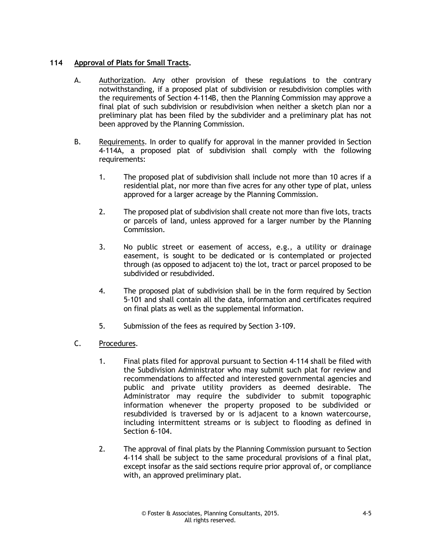#### **114 Approval of Plats for Small Tracts.**

- A. Authorization. Any other provision of these regulations to the contrary notwithstanding, if a proposed plat of subdivision or resubdivision complies with the requirements of Section 4-114B, then the Planning Commission may approve a final plat of such subdivision or resubdivision when neither a sketch plan nor a preliminary plat has been filed by the subdivider and a preliminary plat has not been approved by the Planning Commission.
- B. Requirements. In order to qualify for approval in the manner provided in Section 4-114A, a proposed plat of subdivision shall comply with the following requirements:
	- 1. The proposed plat of subdivision shall include not more than 10 acres if a residential plat, nor more than five acres for any other type of plat, unless approved for a larger acreage by the Planning Commission.
	- 2. The proposed plat of subdivision shall create not more than five lots, tracts or parcels of land, unless approved for a larger number by the Planning Commission.
	- 3. No public street or easement of access, e.g., a utility or drainage easement, is sought to be dedicated or is contemplated or projected through (as opposed to adjacent to) the lot, tract or parcel proposed to be subdivided or resubdivided.
	- 4. The proposed plat of subdivision shall be in the form required by Section 5-101 and shall contain all the data, information and certificates required on final plats as well as the supplemental information.
	- 5. Submission of the fees as required by Section 3-109.
- C. Procedures.
	- 1. Final plats filed for approval pursuant to Section 4-114 shall be filed with the Subdivision Administrator who may submit such plat for review and recommendations to affected and interested governmental agencies and public and private utility providers as deemed desirable. The Administrator may require the subdivider to submit topographic information whenever the property proposed to be subdivided or resubdivided is traversed by or is adjacent to a known watercourse, including intermittent streams or is subject to flooding as defined in Section 6-104.
	- 2. The approval of final plats by the Planning Commission pursuant to Section 4-114 shall be subject to the same procedural provisions of a final plat, except insofar as the said sections require prior approval of, or compliance with, an approved preliminary plat.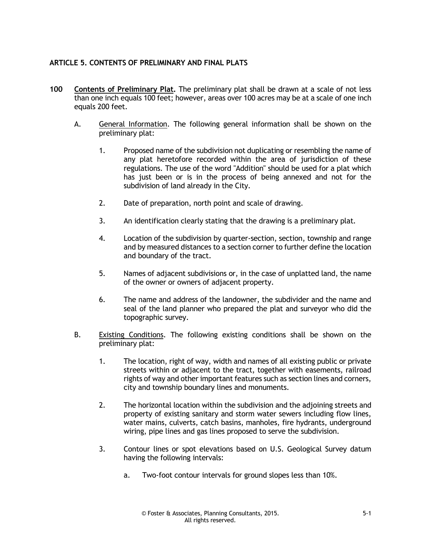#### **ARTICLE 5. CONTENTS OF PRELIMINARY AND FINAL PLATS**

- **100 Contents of Preliminary Plat.** The preliminary plat shall be drawn at a scale of not less than one inch equals 100 feet; however, areas over 100 acres may be at a scale of one inch equals 200 feet.
	- A. General Information. The following general information shall be shown on the preliminary plat:
		- 1. Proposed name of the subdivision not duplicating or resembling the name of any plat heretofore recorded within the area of jurisdiction of these regulations. The use of the word "Addition" should be used for a plat which has just been or is in the process of being annexed and not for the subdivision of land already in the City.
		- 2. Date of preparation, north point and scale of drawing.
		- 3. An identification clearly stating that the drawing is a preliminary plat.
		- 4. Location of the subdivision by quarter-section, section, township and range and by measured distances to a section corner to further define the location and boundary of the tract.
		- 5. Names of adjacent subdivisions or, in the case of unplatted land, the name of the owner or owners of adjacent property.
		- 6. The name and address of the landowner, the subdivider and the name and seal of the land planner who prepared the plat and surveyor who did the topographic survey.
	- B. Existing Conditions. The following existing conditions shall be shown on the preliminary plat:
		- 1. The location, right of way, width and names of all existing public or private streets within or adjacent to the tract, together with easements, railroad rights of way and other important features such as section lines and corners, city and township boundary lines and monuments.
		- 2. The horizontal location within the subdivision and the adjoining streets and property of existing sanitary and storm water sewers including flow lines, water mains, culverts, catch basins, manholes, fire hydrants, underground wiring, pipe lines and gas lines proposed to serve the subdivision.
		- 3. Contour lines or spot elevations based on U.S. Geological Survey datum having the following intervals:
			- a. Two-foot contour intervals for ground slopes less than 10%.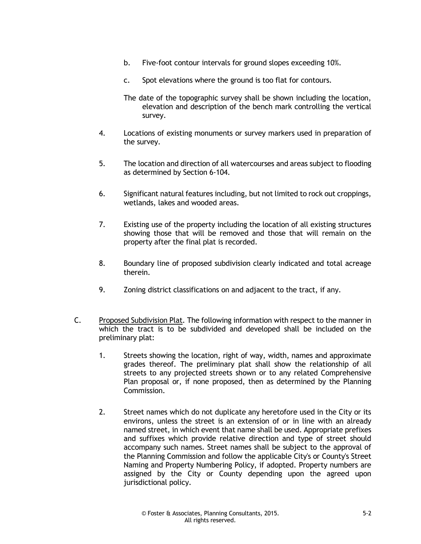- b. Five-foot contour intervals for ground slopes exceeding 10%.
- c. Spot elevations where the ground is too flat for contours.
- The date of the topographic survey shall be shown including the location, elevation and description of the bench mark controlling the vertical survey.
- 4. Locations of existing monuments or survey markers used in preparation of the survey.
- 5. The location and direction of all watercourses and areas subject to flooding as determined by Section 6-104.
- 6. Significant natural features including, but not limited to rock out croppings, wetlands, lakes and wooded areas.
- 7. Existing use of the property including the location of all existing structures showing those that will be removed and those that will remain on the property after the final plat is recorded.
- 8. Boundary line of proposed subdivision clearly indicated and total acreage therein.
- 9. Zoning district classifications on and adjacent to the tract, if any.
- C. Proposed Subdivision Plat. The following information with respect to the manner in which the tract is to be subdivided and developed shall be included on the preliminary plat:
	- 1. Streets showing the location, right of way, width, names and approximate grades thereof. The preliminary plat shall show the relationship of all streets to any projected streets shown or to any related Comprehensive Plan proposal or, if none proposed, then as determined by the Planning Commission.
	- 2. Street names which do not duplicate any heretofore used in the City or its environs, unless the street is an extension of or in line with an already named street, in which event that name shall be used. Appropriate prefixes and suffixes which provide relative direction and type of street should accompany such names. Street names shall be subject to the approval of the Planning Commission and follow the applicable City's or County's Street Naming and Property Numbering Policy, if adopted. Property numbers are assigned by the City or County depending upon the agreed upon jurisdictional policy.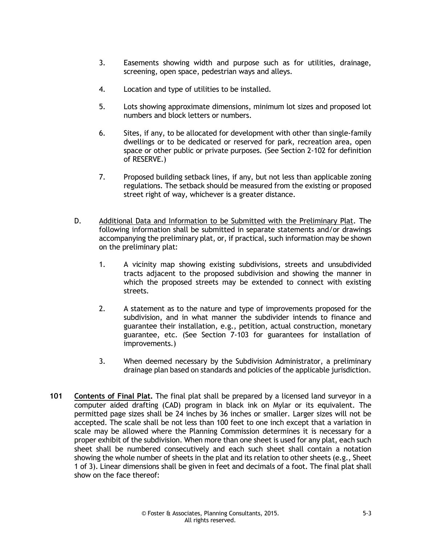- 3. Easements showing width and purpose such as for utilities, drainage, screening, open space, pedestrian ways and alleys.
- 4. Location and type of utilities to be installed.
- 5. Lots showing approximate dimensions, minimum lot sizes and proposed lot numbers and block letters or numbers.
- 6. Sites, if any, to be allocated for development with other than single-family dwellings or to be dedicated or reserved for park, recreation area, open space or other public or private purposes. (See Section 2-102 for definition of RESERVE.)
- 7. Proposed building setback lines, if any, but not less than applicable zoning regulations. The setback should be measured from the existing or proposed street right of way, whichever is a greater distance.
- D. Additional Data and Information to be Submitted with the Preliminary Plat. The following information shall be submitted in separate statements and/or drawings accompanying the preliminary plat, or, if practical, such information may be shown on the preliminary plat:
	- 1. A vicinity map showing existing subdivisions, streets and unsubdivided tracts adjacent to the proposed subdivision and showing the manner in which the proposed streets may be extended to connect with existing streets.
	- 2. A statement as to the nature and type of improvements proposed for the subdivision, and in what manner the subdivider intends to finance and guarantee their installation, e.g., petition, actual construction, monetary guarantee, etc. (See Section 7-103 for guarantees for installation of improvements.)
	- 3. When deemed necessary by the Subdivision Administrator, a preliminary drainage plan based on standards and policies of the applicable jurisdiction.
- **101 Contents of Final Plat.** The final plat shall be prepared by a licensed land surveyor in a computer aided drafting (CAD) program in black ink on Mylar or its equivalent. The permitted page sizes shall be 24 inches by 36 inches or smaller. Larger sizes will not be accepted. The scale shall be not less than 100 feet to one inch except that a variation in scale may be allowed where the Planning Commission determines it is necessary for a proper exhibit of the subdivision. When more than one sheet is used for any plat, each such sheet shall be numbered consecutively and each such sheet shall contain a notation showing the whole number of sheets in the plat and its relation to other sheets (e.g., Sheet 1 of 3). Linear dimensions shall be given in feet and decimals of a foot. The final plat shall show on the face thereof: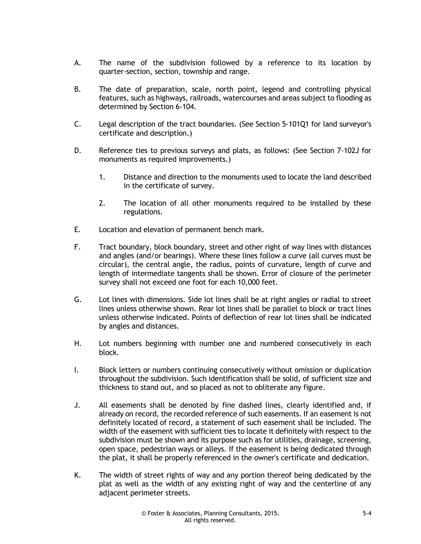- A. The name of the subdivision followed by a reference to its location by quarter-section, section, township and range.
- B. The date of preparation, scale, north point, legend and controlling physical features, such as highways, railroads, watercourses and areas subject to flooding as determined by Section 6-104.
- C. Legal description of the tract boundaries. (See Section 5-101Q1 for land surveyor's certificate and description.)
- D. Reference ties to previous surveys and plats, as follows: (See Section 7-102J for monuments as required improvements.)
	- 1. Distance and direction to the monuments used to locate the land described in the certificate of survey.
	- 2. The location of all other monuments required to be installed by these regulations.
- E. Location and elevation of permanent bench mark.
- F. Tract boundary, block boundary, street and other right of way lines with distances and angles (and/or bearings). Where these lines follow a curve (all curves must be circular), the central angle, the radius, points of curvature, length of curve and length of intermediate tangents shall be shown. Error of closure of the perimeter survey shall not exceed one foot for each 10,000 feet.
- G. Lot lines with dimensions. Side lot lines shall be at right angles or radial to street lines unless otherwise shown. Rear lot lines shall be parallel to block or tract lines unless otherwise indicated. Points of deflection of rear lot lines shall be indicated by angles and distances.
- H. Lot numbers beginning with number one and numbered consecutively in each block.
- I. Block letters or numbers continuing consecutively without omission or duplication throughout the subdivision. Such identification shall be solid, of sufficient size and thickness to stand out, and so placed as not to obliterate any figure.
- J. All easements shall be denoted by fine dashed lines, clearly identified and, if already on record, the recorded reference of such easements. If an easement is not definitely located of record, a statement of such easement shall be included. The width of the easement with sufficient ties to locate it definitely with respect to the subdivision must be shown and its purpose such as for utilities, drainage, screening, open space, pedestrian ways or alleys. If the easement is being dedicated through the plat, it shall be properly referenced in the owner's certificate and dedication.
- K. The width of street rights of way and any portion thereof being dedicated by the plat as well as the width of any existing right of way and the centerline of any adjacent perimeter streets.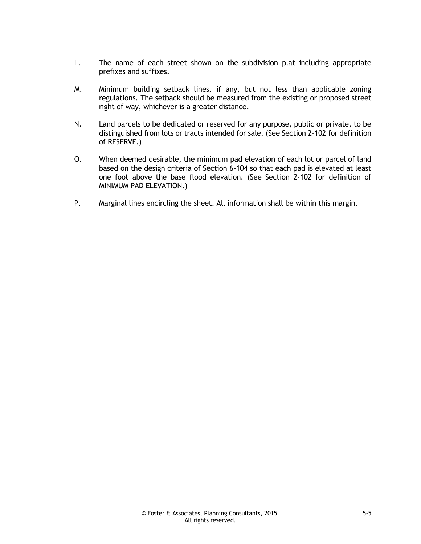- L. The name of each street shown on the subdivision plat including appropriate prefixes and suffixes.
- M. Minimum building setback lines, if any, but not less than applicable zoning regulations. The setback should be measured from the existing or proposed street right of way, whichever is a greater distance.
- N. Land parcels to be dedicated or reserved for any purpose, public or private, to be distinguished from lots or tracts intended for sale. (See Section 2-102 for definition of RESERVE.)
- O. When deemed desirable, the minimum pad elevation of each lot or parcel of land based on the design criteria of Section 6-104 so that each pad is elevated at least one foot above the base flood elevation. (See Section 2-102 for definition of MINIMUM PAD ELEVATION.)
- P. Marginal lines encircling the sheet. All information shall be within this margin.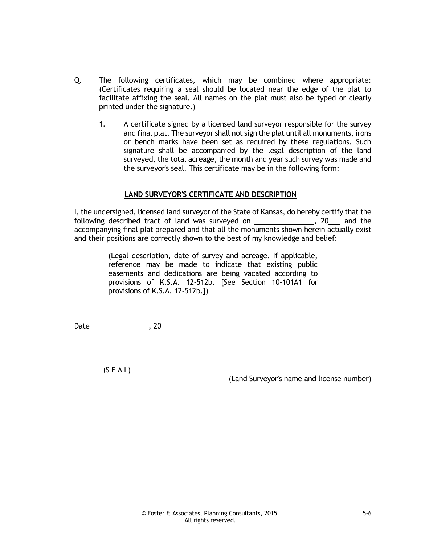- Q. The following certificates, which may be combined where appropriate: (Certificates requiring a seal should be located near the edge of the plat to facilitate affixing the seal. All names on the plat must also be typed or clearly printed under the signature.)
	- 1. A certificate signed by a licensed land surveyor responsible for the survey and final plat. The surveyor shall not sign the plat until all monuments, irons or bench marks have been set as required by these regulations. Such signature shall be accompanied by the legal description of the land surveyed, the total acreage, the month and year such survey was made and the surveyor's seal. This certificate may be in the following form:

#### **LAND SURVEYOR'S CERTIFICATE AND DESCRIPTION**

I, the undersigned, licensed land surveyor of the State of Kansas, do hereby certify that the following described tract of land was surveyed on \_\_\_\_\_\_\_\_\_\_\_\_\_\_\_\_, 20\_\_\_ and the accompanying final plat prepared and that all the monuments shown herein actually exist and their positions are correctly shown to the best of my knowledge and belief:

> (Legal description, date of survey and acreage. If applicable, reference may be made to indicate that existing public easements and dedications are being vacated according to provisions of K.S.A. 12-512b. [See Section 10-101A1 for provisions of K.S.A. 12-512b.])

Date , 20

 $(S E A L)$ 

(Land Surveyor's name and license number)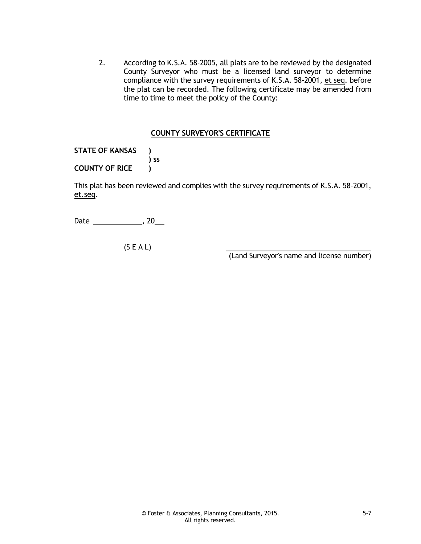2. According to K.S.A. 58-2005, all plats are to be reviewed by the designated County Surveyor who must be a licensed land surveyor to determine compliance with the survey requirements of K.S.A. 58-2001, et seq. before the plat can be recorded. The following certificate may be amended from time to time to meet the policy of the County:

#### **COUNTY SURVEYOR'S CERTIFICATE**

**STATE OF KANSAS ) ) ss COUNTY OF RICE )**

This plat has been reviewed and complies with the survey requirements of K.S.A. 58-2001, et.seq.

Date , 20

(S E A L)

(Land Surveyor's name and license number)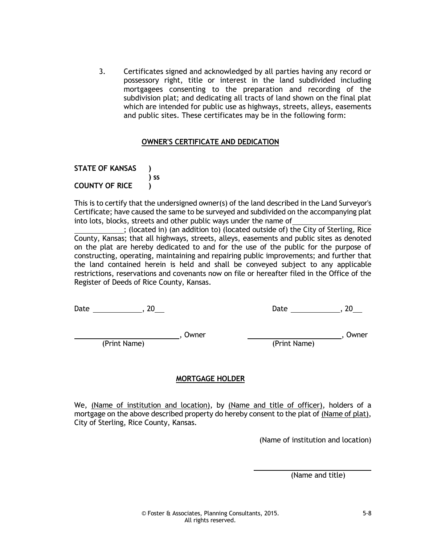3. Certificates signed and acknowledged by all parties having any record or possessory right, title or interest in the land subdivided including mortgagees consenting to the preparation and recording of the subdivision plat; and dedicating all tracts of land shown on the final plat which are intended for public use as highways, streets, alleys, easements and public sites. These certificates may be in the following form:

#### **OWNER'S CERTIFICATE AND DEDICATION**

**STATE OF KANSAS ) ) ss COUNTY OF RICE )**

This is to certify that the undersigned owner(s) of the land described in the Land Surveyor's Certificate; have caused the same to be surveyed and subdivided on the accompanying plat into lots, blocks, streets and other public ways under the name of

; (located in) (an addition to) (located outside of) the City of Sterling, Rice County, Kansas; that all highways, streets, alleys, easements and public sites as denoted on the plat are hereby dedicated to and for the use of the public for the purpose of constructing, operating, maintaining and repairing public improvements; and further that the land contained herein is held and shall be conveyed subject to any applicable restrictions, reservations and covenants now on file or hereafter filed in the Office of the Register of Deeds of Rice County, Kansas.

Date , 20 Date , 20

Owner , Owner , Owner , Owner , Owner , Owner , Owner ,  $\sim$ 

(Print Name) (Print Name)

#### **MORTGAGE HOLDER**

We, (Name of institution and location), by (Name and title of officer), holders of a mortgage on the above described property do hereby consent to the plat of (Name of plat), City of Sterling, Rice County, Kansas.

(Name of institution and location)

(Name and title)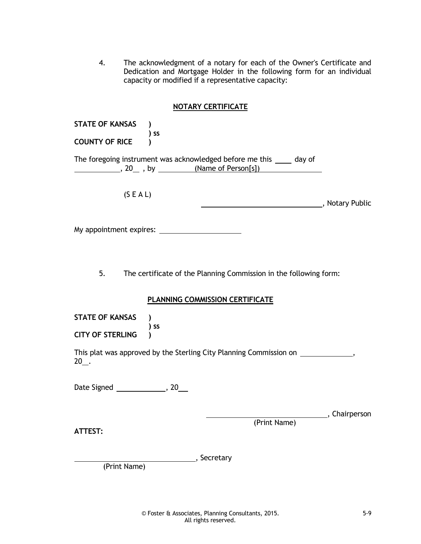4. The acknowledgment of a notary for each of the Owner's Certificate and Dedication and Mortgage Holder in the following form for an individual capacity or modified if a representative capacity:

#### **NOTARY CERTIFICATE**

| <b>STATE OF KANSAS</b><br><b>COUNTY OF RICE</b>                                             | ) SS                                                                                                 |                         |  |
|---------------------------------------------------------------------------------------------|------------------------------------------------------------------------------------------------------|-------------------------|--|
|                                                                                             | The foregoing instrument was acknowledged before me this _____ day of                                |                         |  |
| (S E A L)                                                                                   |                                                                                                      |                         |  |
|                                                                                             |                                                                                                      |                         |  |
| 5.                                                                                          | The certificate of the Planning Commission in the following form:<br>PLANNING COMMISSION CERTIFICATE |                         |  |
|                                                                                             |                                                                                                      |                         |  |
| <b>STATE OF KANSAS</b>                                                                      | $)$ ss                                                                                               |                         |  |
| <b>CITY OF STERLING</b>                                                                     |                                                                                                      |                         |  |
| This plat was approved by the Sterling City Planning Commission on _____________,<br>$20$ . |                                                                                                      |                         |  |
|                                                                                             |                                                                                                      |                         |  |
| <b>ATTEST:</b>                                                                              | (Print Name)                                                                                         | __________, Chairperson |  |

(Print Name)

, Secretary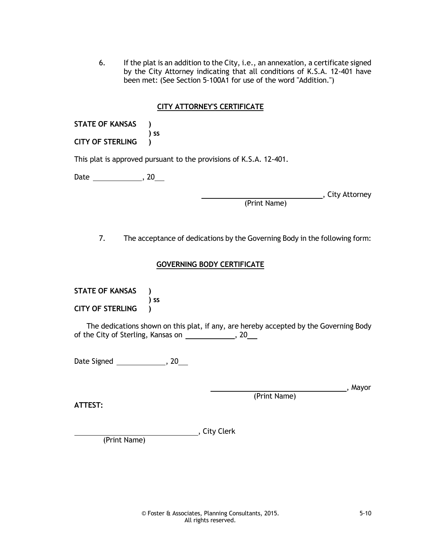6. If the plat is an addition to the City, i.e., an annexation, a certificate signed by the City Attorney indicating that all conditions of K.S.A. 12-401 have been met: (See Section 5-100A1 for use of the word "Addition.")

#### **CITY ATTORNEY'S CERTIFICATE**

**STATE OF KANSAS ) ) ss CITY OF STERLING )**

This plat is approved pursuant to the provisions of K.S.A. 12-401.

Date \_\_\_\_\_\_\_\_\_\_\_\_\_\_\_\_, 20\_\_\_

**City Attorney**, City Attorney

(Print Name)

7. The acceptance of dedications by the Governing Body in the following form:

#### **GOVERNING BODY CERTIFICATE**

**STATE OF KANSAS ) ) ss CITY OF STERLING )**

The dedications shown on this plat, if any, are hereby accepted by the Governing Body of the City of Sterling, Kansas on \_\_\_\_\_\_\_\_\_\_\_\_\_, 20\_\_\_

Date Signed \_\_\_\_\_\_\_\_\_\_\_\_\_\_\_, 20\_\_\_

**ATTEST:**

(Print Name)

, City Clerk

(Print Name)

© Foster & Associates, Planning Consultants, 2015. 5-10 All rights reserved.

, Mayor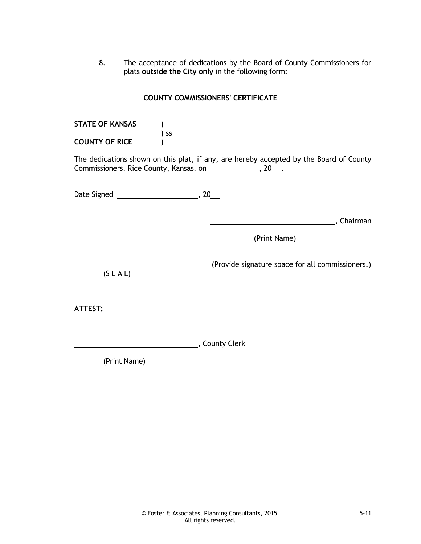8. The acceptance of dedications by the Board of County Commissioners for plats **outside the City only** in the following form:

#### **COUNTY COMMISSIONERS' CERTIFICATE**

**STATE OF KANSAS ) ) ss COUNTY OF RICE )**

The dedications shown on this plat, if any, are hereby accepted by the Board of County Commissioners, Rice County, Kansas, on \_\_\_\_\_\_\_\_\_\_\_\_, 20\_\_\_.

Date Signed , 20

**Market Election Chairman**, Chairman

(Print Name)

(Provide signature space for all commissioners.)

**ATTEST:**

, County Clerk

(Print Name)

(S E A L)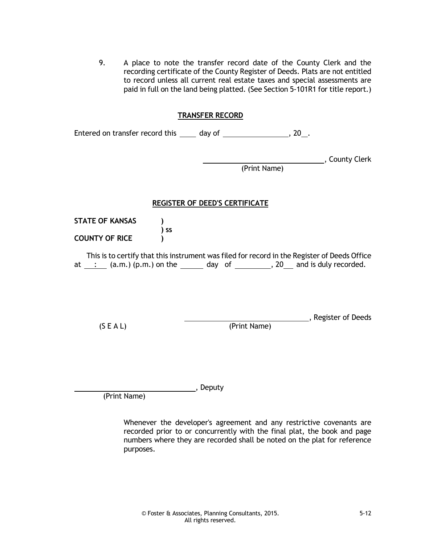9. A place to note the transfer record date of the County Clerk and the recording certificate of the County Register of Deeds. Plats are not entitled to record unless all current real estate taxes and special assessments are paid in full on the land being platted. (See Section 5-101R1 for title report.)

#### **TRANSFER RECORD**

| Entered on transfer record this | day of |  |
|---------------------------------|--------|--|
|                                 |        |  |

, County Clerk

(Print Name)

#### **REGISTER OF DEED'S CERTIFICATE**

**STATE OF KANSAS ) ) ss COUNTY OF RICE )**

This is to certify that this instrument was filed for record in the Register of Deeds Office at  $\therefore$  (a.m.) (p.m.) on the day of  $\therefore$  20 and is duly recorded.

(S E A L) (Print Name)

, Register of Deeds

(Print Name)

, Deputy

Whenever the developer's agreement and any restrictive covenants are recorded prior to or concurrently with the final plat, the book and page numbers where they are recorded shall be noted on the plat for reference purposes.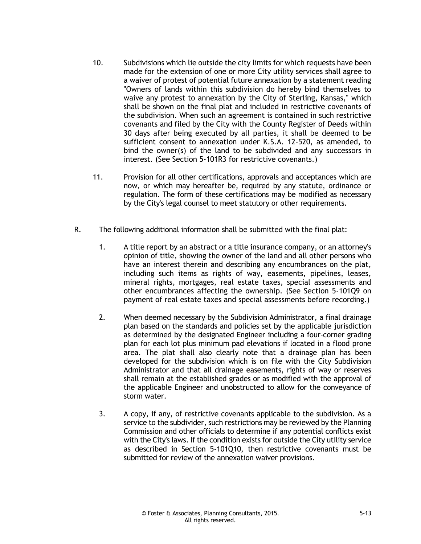- 10. Subdivisions which lie outside the city limits for which requests have been made for the extension of one or more City utility services shall agree to a waiver of protest of potential future annexation by a statement reading "Owners of lands within this subdivision do hereby bind themselves to waive any protest to annexation by the City of Sterling, Kansas," which shall be shown on the final plat and included in restrictive covenants of the subdivision. When such an agreement is contained in such restrictive covenants and filed by the City with the County Register of Deeds within 30 days after being executed by all parties, it shall be deemed to be sufficient consent to annexation under K.S.A. 12-520, as amended, to bind the owner(s) of the land to be subdivided and any successors in interest. (See Section 5-101R3 for restrictive covenants.)
- 11. Provision for all other certifications, approvals and acceptances which are now, or which may hereafter be, required by any statute, ordinance or regulation. The form of these certifications may be modified as necessary by the City's legal counsel to meet statutory or other requirements.
- R. The following additional information shall be submitted with the final plat:
	- 1. A title report by an abstract or a title insurance company, or an attorney's opinion of title, showing the owner of the land and all other persons who have an interest therein and describing any encumbrances on the plat, including such items as rights of way, easements, pipelines, leases, mineral rights, mortgages, real estate taxes, special assessments and other encumbrances affecting the ownership. (See Section 5-101Q9 on payment of real estate taxes and special assessments before recording.)
	- 2. When deemed necessary by the Subdivision Administrator, a final drainage plan based on the standards and policies set by the applicable jurisdiction as determined by the designated Engineer including a four-corner grading plan for each lot plus minimum pad elevations if located in a flood prone area. The plat shall also clearly note that a drainage plan has been developed for the subdivision which is on file with the City Subdivision Administrator and that all drainage easements, rights of way or reserves shall remain at the established grades or as modified with the approval of the applicable Engineer and unobstructed to allow for the conveyance of storm water.
	- 3. A copy, if any, of restrictive covenants applicable to the subdivision. As a service to the subdivider, such restrictions may be reviewed by the Planning Commission and other officials to determine if any potential conflicts exist with the City's laws. If the condition exists for outside the City utility service as described in Section 5-101Q10, then restrictive covenants must be submitted for review of the annexation waiver provisions.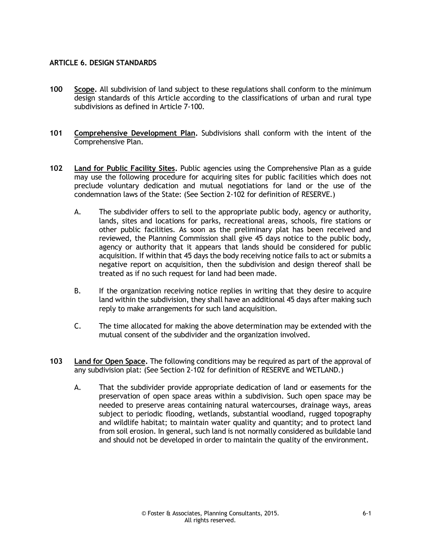#### **ARTICLE 6. DESIGN STANDARDS**

- **100 Scope.** All subdivision of land subject to these regulations shall conform to the minimum design standards of this Article according to the classifications of urban and rural type subdivisions as defined in Article 7-100.
- **101 Comprehensive Development Plan.** Subdivisions shall conform with the intent of the Comprehensive Plan.
- **102 Land for Public Facility Sites.** Public agencies using the Comprehensive Plan as a guide may use the following procedure for acquiring sites for public facilities which does not preclude voluntary dedication and mutual negotiations for land or the use of the condemnation laws of the State: (See Section 2-102 for definition of RESERVE.)
	- A. The subdivider offers to sell to the appropriate public body, agency or authority, lands, sites and locations for parks, recreational areas, schools, fire stations or other public facilities. As soon as the preliminary plat has been received and reviewed, the Planning Commission shall give 45 days notice to the public body, agency or authority that it appears that lands should be considered for public acquisition. If within that 45 days the body receiving notice fails to act or submits a negative report on acquisition, then the subdivision and design thereof shall be treated as if no such request for land had been made.
	- B. If the organization receiving notice replies in writing that they desire to acquire land within the subdivision, they shall have an additional 45 days after making such reply to make arrangements for such land acquisition.
	- C. The time allocated for making the above determination may be extended with the mutual consent of the subdivider and the organization involved.
- **103 Land for Open Space.** The following conditions may be required as part of the approval of any subdivision plat: (See Section 2-102 for definition of RESERVE and WETLAND.)
	- A. That the subdivider provide appropriate dedication of land or easements for the preservation of open space areas within a subdivision. Such open space may be needed to preserve areas containing natural watercourses, drainage ways, areas subject to periodic flooding, wetlands, substantial woodland, rugged topography and wildlife habitat; to maintain water quality and quantity; and to protect land from soil erosion. In general, such land is not normally considered as buildable land and should not be developed in order to maintain the quality of the environment.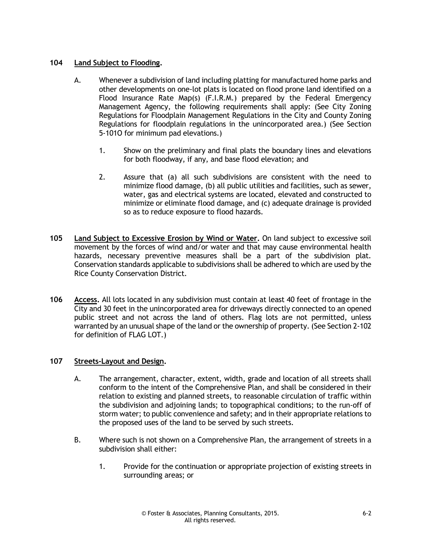#### **104 Land Subject to Flooding.**

- A. Whenever a subdivision of land including platting for manufactured home parks and other developments on one-lot plats is located on flood prone land identified on a Flood Insurance Rate Map(s) (F.I.R.M.) prepared by the Federal Emergency Management Agency, the following requirements shall apply: (See City Zoning Regulations for Floodplain Management Regulations in the City and County Zoning Regulations for floodplain regulations in the unincorporated area.) (See Section 5-101O for minimum pad elevations.)
	- 1. Show on the preliminary and final plats the boundary lines and elevations for both floodway, if any, and base flood elevation; and
	- 2. Assure that (a) all such subdivisions are consistent with the need to minimize flood damage, (b) all public utilities and facilities, such as sewer, water, gas and electrical systems are located, elevated and constructed to minimize or eliminate flood damage, and (c) adequate drainage is provided so as to reduce exposure to flood hazards.
- **105 Land Subject to Excessive Erosion by Wind or Water.** On land subject to excessive soil movement by the forces of wind and/or water and that may cause environmental health hazards, necessary preventive measures shall be a part of the subdivision plat. Conservation standards applicable to subdivisions shall be adhered to which are used by the Rice County Conservation District.
- **106 Access.** All lots located in any subdivision must contain at least 40 feet of frontage in the City and 30 feet in the unincorporated area for driveways directly connected to an opened public street and not across the land of others. Flag lots are not permitted, unless warranted by an unusual shape of the land or the ownership of property. (See Section 2-102 for definition of FLAG LOT.)

#### **107 Streets-Layout and Design.**

- A. The arrangement, character, extent, width, grade and location of all streets shall conform to the intent of the Comprehensive Plan, and shall be considered in their relation to existing and planned streets, to reasonable circulation of traffic within the subdivision and adjoining lands; to topographical conditions; to the run-off of storm water; to public convenience and safety; and in their appropriate relations to the proposed uses of the land to be served by such streets.
- B. Where such is not shown on a Comprehensive Plan, the arrangement of streets in a subdivision shall either:
	- 1. Provide for the continuation or appropriate projection of existing streets in surrounding areas; or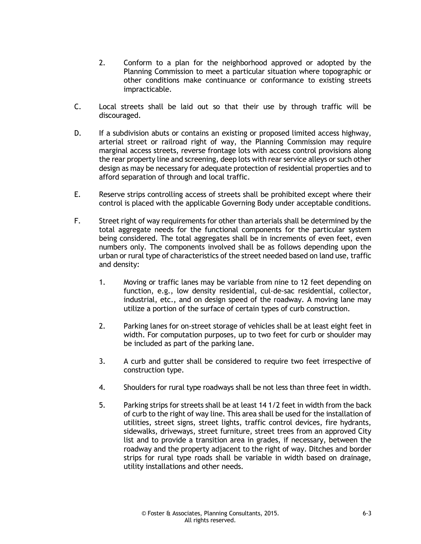- 2. Conform to a plan for the neighborhood approved or adopted by the Planning Commission to meet a particular situation where topographic or other conditions make continuance or conformance to existing streets impracticable.
- C. Local streets shall be laid out so that their use by through traffic will be discouraged.
- D. If a subdivision abuts or contains an existing or proposed limited access highway, arterial street or railroad right of way, the Planning Commission may require marginal access streets, reverse frontage lots with access control provisions along the rear property line and screening, deep lots with rear service alleys or such other design as may be necessary for adequate protection of residential properties and to afford separation of through and local traffic.
- E. Reserve strips controlling access of streets shall be prohibited except where their control is placed with the applicable Governing Body under acceptable conditions.
- F. Street right of way requirements for other than arterials shall be determined by the total aggregate needs for the functional components for the particular system being considered. The total aggregates shall be in increments of even feet, even numbers only. The components involved shall be as follows depending upon the urban or rural type of characteristics of the street needed based on land use, traffic and density:
	- 1. Moving or traffic lanes may be variable from nine to 12 feet depending on function, e.g., low density residential, cul-de-sac residential, collector, industrial, etc., and on design speed of the roadway. A moving lane may utilize a portion of the surface of certain types of curb construction.
	- 2. Parking lanes for on-street storage of vehicles shall be at least eight feet in width. For computation purposes, up to two feet for curb or shoulder may be included as part of the parking lane.
	- 3. A curb and gutter shall be considered to require two feet irrespective of construction type.
	- 4. Shoulders for rural type roadways shall be not less than three feet in width.
	- 5. Parking strips for streets shall be at least 14 1/2 feet in width from the back of curb to the right of way line. This area shall be used for the installation of utilities, street signs, street lights, traffic control devices, fire hydrants, sidewalks, driveways, street furniture, street trees from an approved City list and to provide a transition area in grades, if necessary, between the roadway and the property adjacent to the right of way. Ditches and border strips for rural type roads shall be variable in width based on drainage, utility installations and other needs.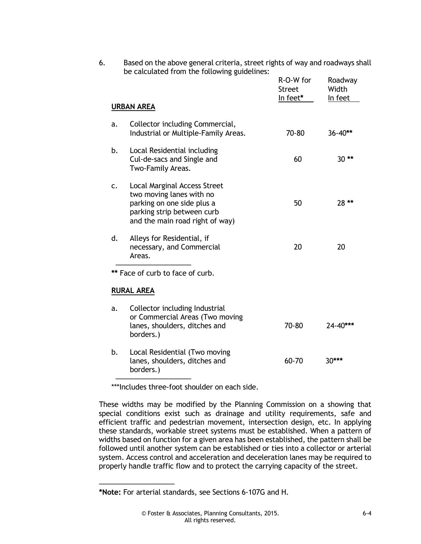|                   |                                                                                                                                                                | <b>Street</b><br>In feet* | Width<br>In feet |
|-------------------|----------------------------------------------------------------------------------------------------------------------------------------------------------------|---------------------------|------------------|
| <b>URBAN AREA</b> |                                                                                                                                                                |                           |                  |
| a.                | Collector including Commercial,<br>Industrial or Multiple-Family Areas.                                                                                        | 70-80                     | $36 - 40**$      |
| b.                | Local Residential including<br>Cul-de-sacs and Single and<br>Two-Family Areas.                                                                                 | 60                        | $30**$           |
| c.                | <b>Local Marginal Access Street</b><br>two moving lanes with no<br>parking on one side plus a<br>parking strip between curb<br>and the main road right of way) | 50                        | 28 **            |
| d.                | Alleys for Residential, if<br>necessary, and Commercial<br>Areas.                                                                                              | 20                        | 20               |
|                   | ** Face of curb to face of curb.                                                                                                                               |                           |                  |
|                   | <b>RURAL AREA</b>                                                                                                                                              |                           |                  |
| a.                | Collector including Industrial<br>or Commercial Areas (Two moving<br>lanes, shoulders, ditches and<br>borders.)                                                | 70-80                     | 24-40***         |
| b.                | Local Residential (Two moving<br>lanes, shoulders, ditches and<br>borders.)                                                                                    | 60-70                     | 30***            |

6. Based on the above general criteria, street rights of way and roadways shall alculated from the following

\*\*\*Includes three-foot shoulder on each side.

These widths may be modified by the Planning Commission on a showing that special conditions exist such as drainage and utility requirements, safe and efficient traffic and pedestrian movement, intersection design, etc. In applying these standards, workable street systems must be established. When a pattern of widths based on function for a given area has been established, the pattern shall be followed until another system can be established or ties into a collector or arterial system. Access control and acceleration and deceleration lanes may be required to properly handle traffic flow and to protect the carrying capacity of the street.

─────────────────

**<sup>\*</sup>Note:** For arterial standards, see Sections 6-107G and H.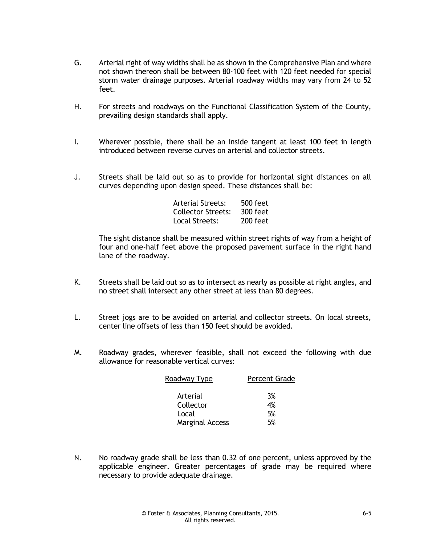- G. Arterial right of way widths shall be as shown in the Comprehensive Plan and where not shown thereon shall be between 80-100 feet with 120 feet needed for special storm water drainage purposes. Arterial roadway widths may vary from 24 to 52 feet.
- H. For streets and roadways on the Functional Classification System of the County, prevailing design standards shall apply.
- I. Wherever possible, there shall be an inside tangent at least 100 feet in length introduced between reverse curves on arterial and collector streets.
- J. Streets shall be laid out so as to provide for horizontal sight distances on all curves depending upon design speed. These distances shall be:

| Arterial Streets:  | 500 feet   |
|--------------------|------------|
| Collector Streets: | $300$ feet |
| Local Streets:     | $200$ feet |

The sight distance shall be measured within street rights of way from a height of four and one-half feet above the proposed pavement surface in the right hand lane of the roadway.

- K. Streets shall be laid out so as to intersect as nearly as possible at right angles, and no street shall intersect any other street at less than 80 degrees.
- L. Street jogs are to be avoided on arterial and collector streets. On local streets, center line offsets of less than 150 feet should be avoided.
- M. Roadway grades, wherever feasible, shall not exceed the following with due allowance for reasonable vertical curves:

| Roadway Type           | <b>Percent Grade</b> |
|------------------------|----------------------|
| Arterial               | 3%                   |
| Collector              | 4%                   |
| Local                  | 5%                   |
| <b>Marginal Access</b> | 5%                   |

N. No roadway grade shall be less than 0.32 of one percent, unless approved by the applicable engineer. Greater percentages of grade may be required where necessary to provide adequate drainage.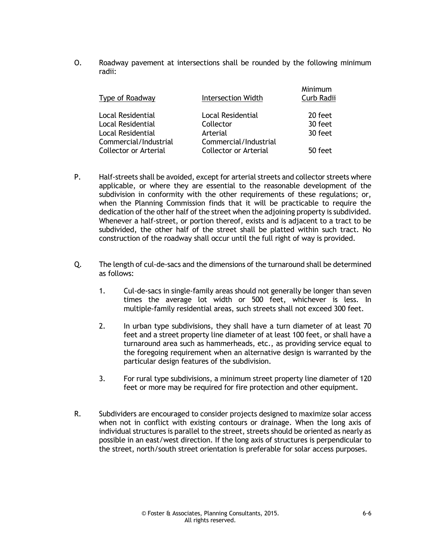O. Roadway pavement at intersections shall be rounded by the following minimum radii:

| Type of Roadway                                                    | Intersection Width                                    | Minimum<br>Curb Radii         |
|--------------------------------------------------------------------|-------------------------------------------------------|-------------------------------|
| Local Residential<br><b>Local Residential</b><br>Local Residential | Local Residential<br>Collector<br>Arterial            | 20 feet<br>30 feet<br>30 feet |
| Commercial/Industrial<br>Collector or Arterial                     | Commercial/Industrial<br><b>Collector or Arterial</b> | 50 feet                       |

- P. Half-streets shall be avoided, except for arterial streets and collector streets where applicable, or where they are essential to the reasonable development of the subdivision in conformity with the other requirements of these regulations; or, when the Planning Commission finds that it will be practicable to require the dedication of the other half of the street when the adjoining property is subdivided. Whenever a half-street, or portion thereof, exists and is adjacent to a tract to be subdivided, the other half of the street shall be platted within such tract. No construction of the roadway shall occur until the full right of way is provided.
- Q. The length of cul-de-sacs and the dimensions of the turnaround shall be determined as follows:
	- 1. Cul-de-sacs in single-family areas should not generally be longer than seven times the average lot width or 500 feet, whichever is less. In multiple-family residential areas, such streets shall not exceed 300 feet.
	- 2. In urban type subdivisions, they shall have a turn diameter of at least 70 feet and a street property line diameter of at least 100 feet, or shall have a turnaround area such as hammerheads, etc., as providing service equal to the foregoing requirement when an alternative design is warranted by the particular design features of the subdivision.
	- 3. For rural type subdivisions, a minimum street property line diameter of 120 feet or more may be required for fire protection and other equipment.
- R. Subdividers are encouraged to consider projects designed to maximize solar access when not in conflict with existing contours or drainage. When the long axis of individual structures is parallel to the street, streets should be oriented as nearly as possible in an east/west direction. If the long axis of structures is perpendicular to the street, north/south street orientation is preferable for solar access purposes.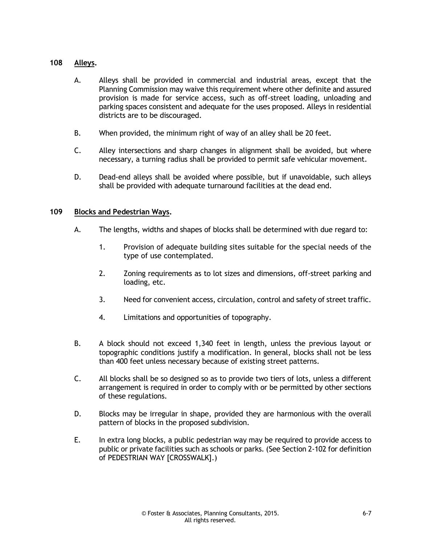#### **108 Alleys.**

- A. Alleys shall be provided in commercial and industrial areas, except that the Planning Commission may waive this requirement where other definite and assured provision is made for service access, such as off-street loading, unloading and parking spaces consistent and adequate for the uses proposed. Alleys in residential districts are to be discouraged.
- B. When provided, the minimum right of way of an alley shall be 20 feet.
- C. Alley intersections and sharp changes in alignment shall be avoided, but where necessary, a turning radius shall be provided to permit safe vehicular movement.
- D. Dead-end alleys shall be avoided where possible, but if unavoidable, such alleys shall be provided with adequate turnaround facilities at the dead end.

#### **109 Blocks and Pedestrian Ways.**

- A. The lengths, widths and shapes of blocks shall be determined with due regard to:
	- 1. Provision of adequate building sites suitable for the special needs of the type of use contemplated.
	- 2. Zoning requirements as to lot sizes and dimensions, off-street parking and loading, etc.
	- 3. Need for convenient access, circulation, control and safety of street traffic.
	- 4. Limitations and opportunities of topography.
- B. A block should not exceed 1,340 feet in length, unless the previous layout or topographic conditions justify a modification. In general, blocks shall not be less than 400 feet unless necessary because of existing street patterns.
- C. All blocks shall be so designed so as to provide two tiers of lots, unless a different arrangement is required in order to comply with or be permitted by other sections of these regulations.
- D. Blocks may be irregular in shape, provided they are harmonious with the overall pattern of blocks in the proposed subdivision.
- E. In extra long blocks, a public pedestrian way may be required to provide access to public or private facilities such as schools or parks. (See Section 2-102 for definition of PEDESTRIAN WAY [CROSSWALK].)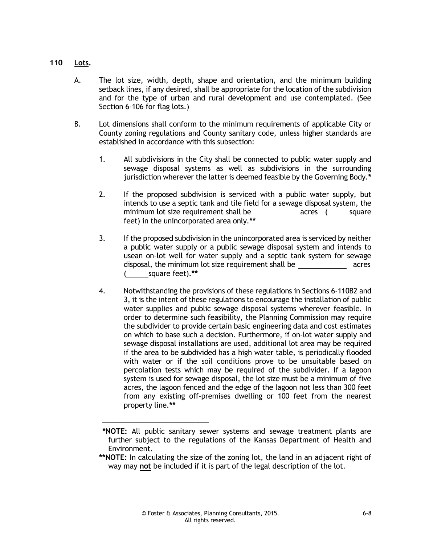#### **110 Lots.**

- A. The lot size, width, depth, shape and orientation, and the minimum building setback lines, if any desired, shall be appropriate for the location of the subdivision and for the type of urban and rural development and use contemplated. (See Section 6-106 for flag lots.)
- B. Lot dimensions shall conform to the minimum requirements of applicable City or County zoning regulations and County sanitary code, unless higher standards are established in accordance with this subsection:
	- 1. All subdivisions in the City shall be connected to public water supply and sewage disposal systems as well as subdivisions in the surrounding jurisdiction wherever the latter is deemed feasible by the Governing Body.**\***
	- 2. If the proposed subdivision is serviced with a public water supply, but intends to use a septic tank and tile field for a sewage disposal system, the minimum lot size requirement shall be acres (square square feet) in the unincorporated area only.**\*\***
	- 3. If the proposed subdivision in the unincorporated area is serviced by neither a public water supply or a public sewage disposal system and intends to usean on-lot well for water supply and a septic tank system for sewage disposal, the minimum lot size requirement shall be acres ( square feet).**\*\***
	- 4. Notwithstanding the provisions of these regulations in Sections 6-110B2 and 3, it is the intent of these regulations to encourage the installation of public water supplies and public sewage disposal systems wherever feasible. In order to determine such feasibility, the Planning Commission may require the subdivider to provide certain basic engineering data and cost estimates on which to base such a decision. Furthermore, if on-lot water supply and sewage disposal installations are used, additional lot area may be required if the area to be subdivided has a high water table, is periodically flooded with water or if the soil conditions prove to be unsuitable based on percolation tests which may be required of the subdivider. If a lagoon system is used for sewage disposal, the lot size must be a minimum of five acres, the lagoon fenced and the edge of the lagoon not less than 300 feet from any existing off-premises dwelling or 100 feet from the nearest property line.**\*\***

───────<del>───</del>

**<sup>\*</sup>NOTE:** All public sanitary sewer systems and sewage treatment plants are further subject to the regulations of the Kansas Department of Health and Environment.

**<sup>\*\*</sup>NOTE:** In calculating the size of the zoning lot, the land in an adjacent right of way may **not** be included if it is part of the legal description of the lot.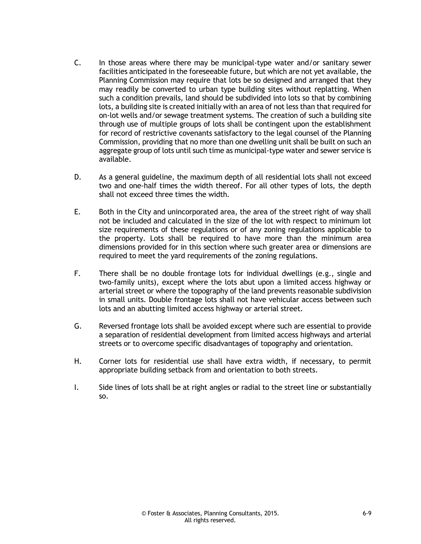- C. In those areas where there may be municipal-type water and/or sanitary sewer facilities anticipated in the foreseeable future, but which are not yet available, the Planning Commission may require that lots be so designed and arranged that they may readily be converted to urban type building sites without replatting. When such a condition prevails, land should be subdivided into lots so that by combining lots, a building site is created initially with an area of not less than that required for on-lot wells and/or sewage treatment systems. The creation of such a building site through use of multiple groups of lots shall be contingent upon the establishment for record of restrictive covenants satisfactory to the legal counsel of the Planning Commission, providing that no more than one dwelling unit shall be built on such an aggregate group of lots until such time as municipal-type water and sewer service is available.
- D. As a general guideline, the maximum depth of all residential lots shall not exceed two and one-half times the width thereof. For all other types of lots, the depth shall not exceed three times the width.
- E. Both in the City and unincorporated area, the area of the street right of way shall not be included and calculated in the size of the lot with respect to minimum lot size requirements of these regulations or of any zoning regulations applicable to the property. Lots shall be required to have more than the minimum area dimensions provided for in this section where such greater area or dimensions are required to meet the yard requirements of the zoning regulations.
- F. There shall be no double frontage lots for individual dwellings (e.g., single and two-family units), except where the lots abut upon a limited access highway or arterial street or where the topography of the land prevents reasonable subdivision in small units. Double frontage lots shall not have vehicular access between such lots and an abutting limited access highway or arterial street.
- G. Reversed frontage lots shall be avoided except where such are essential to provide a separation of residential development from limited access highways and arterial streets or to overcome specific disadvantages of topography and orientation.
- H. Corner lots for residential use shall have extra width, if necessary, to permit appropriate building setback from and orientation to both streets.
- I. Side lines of lots shall be at right angles or radial to the street line or substantially so.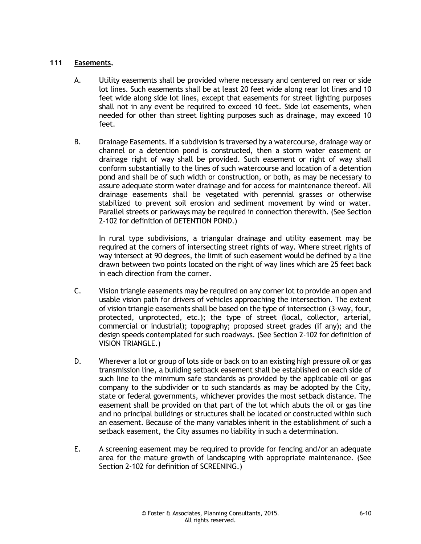#### **111 Easements.**

- A. Utility easements shall be provided where necessary and centered on rear or side lot lines. Such easements shall be at least 20 feet wide along rear lot lines and 10 feet wide along side lot lines, except that easements for street lighting purposes shall not in any event be required to exceed 10 feet. Side lot easements, when needed for other than street lighting purposes such as drainage, may exceed 10 feet.
- B. Drainage Easements. If a subdivision is traversed by a watercourse, drainage way or channel or a detention pond is constructed, then a storm water easement or drainage right of way shall be provided. Such easement or right of way shall conform substantially to the lines of such watercourse and location of a detention pond and shall be of such width or construction, or both, as may be necessary to assure adequate storm water drainage and for access for maintenance thereof. All drainage easements shall be vegetated with perennial grasses or otherwise stabilized to prevent soil erosion and sediment movement by wind or water. Parallel streets or parkways may be required in connection therewith. (See Section 2-102 for definition of DETENTION POND.)

In rural type subdivisions, a triangular drainage and utility easement may be required at the corners of intersecting street rights of way. Where street rights of way intersect at 90 degrees, the limit of such easement would be defined by a line drawn between two points located on the right of way lines which are 25 feet back in each direction from the corner.

- C. Vision triangle easements may be required on any corner lot to provide an open and usable vision path for drivers of vehicles approaching the intersection. The extent of vision triangle easements shall be based on the type of intersection (3-way, four, protected, unprotected, etc.); the type of street (local, collector, arterial, commercial or industrial); topography; proposed street grades (if any); and the design speeds contemplated for such roadways. (See Section 2-102 for definition of VISION TRIANGLE.)
- D. Wherever a lot or group of lots side or back on to an existing high pressure oil or gas transmission line, a building setback easement shall be established on each side of such line to the minimum safe standards as provided by the applicable oil or gas company to the subdivider or to such standards as may be adopted by the City, state or federal governments, whichever provides the most setback distance. The easement shall be provided on that part of the lot which abuts the oil or gas line and no principal buildings or structures shall be located or constructed within such an easement. Because of the many variables inherit in the establishment of such a setback easement, the City assumes no liability in such a determination.
- E. A screening easement may be required to provide for fencing and/or an adequate area for the mature growth of landscaping with appropriate maintenance. (See Section 2-102 for definition of SCREENING.)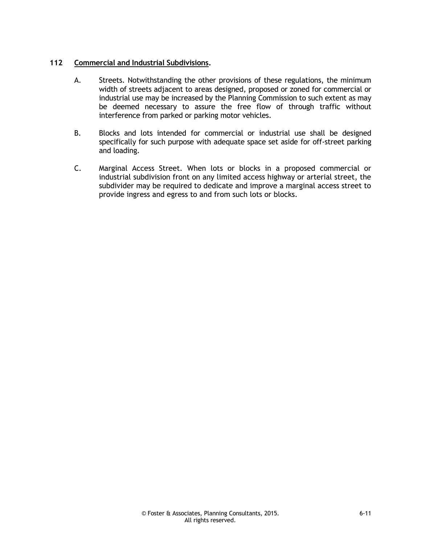#### **112 Commercial and Industrial Subdivisions.**

- A. Streets. Notwithstanding the other provisions of these regulations, the minimum width of streets adjacent to areas designed, proposed or zoned for commercial or industrial use may be increased by the Planning Commission to such extent as may be deemed necessary to assure the free flow of through traffic without interference from parked or parking motor vehicles.
- B. Blocks and lots intended for commercial or industrial use shall be designed specifically for such purpose with adequate space set aside for off-street parking and loading.
- C. Marginal Access Street. When lots or blocks in a proposed commercial or industrial subdivision front on any limited access highway or arterial street, the subdivider may be required to dedicate and improve a marginal access street to provide ingress and egress to and from such lots or blocks.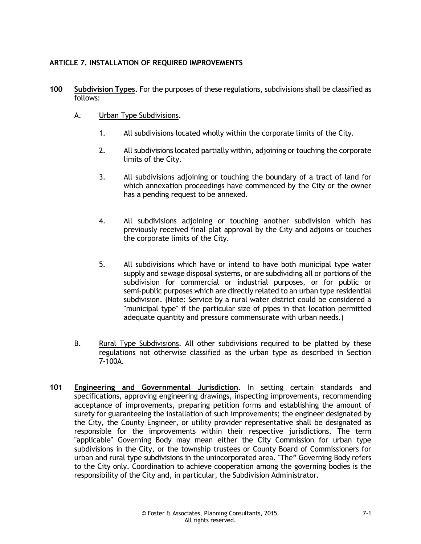#### **ARTICLE 7. INSTALLATION OF REQUIRED IMPROVEMENTS**

- **100 Subdivision Types.** For the purposes of these regulations, subdivisions shall be classified as follows:
	- A. Urban Type Subdivisions.
		- 1. All subdivisions located wholly within the corporate limits of the City.
		- 2. All subdivisions located partially within, adjoining or touching the corporate limits of the City.
		- 3. All subdivisions adjoining or touching the boundary of a tract of land for which annexation proceedings have commenced by the City or the owner has a pending request to be annexed.
		- 4. All subdivisions adjoining or touching another subdivision which has previously received final plat approval by the City and adjoins or touches the corporate limits of the City.
		- 5. All subdivisions which have or intend to have both municipal type water supply and sewage disposal systems, or are subdividing all or portions of the subdivision for commercial or industrial purposes, or for public or semi-public purposes which are directly related to an urban type residential subdivision. (Note: Service by a rural water district could be considered a "municipal type" if the particular size of pipes in that location permitted adequate quantity and pressure commensurate with urban needs.)
	- B. Rural Type Subdivisions. All other subdivisions required to be platted by these regulations not otherwise classified as the urban type as described in Section 7-100A.
- **101 Engineering and Governmental Jurisdiction.** In setting certain standards and specifications, approving engineering drawings, inspecting improvements, recommending acceptance of improvements, preparing petition forms and establishing the amount of surety for guaranteeing the installation of such improvements; the engineer designated by the City, the County Engineer, or utility provider representative shall be designated as responsible for the improvements within their respective jurisdictions. The term "applicable" Governing Body may mean either the City Commission for urban type subdivisions in the City, or the township trustees or County Board of Commissioners for urban and rural type subdivisions in the unincorporated area. "The" Governing Body refers to the City only. Coordination to achieve cooperation among the governing bodies is the responsibility of the City and, in particular, the Subdivision Administrator.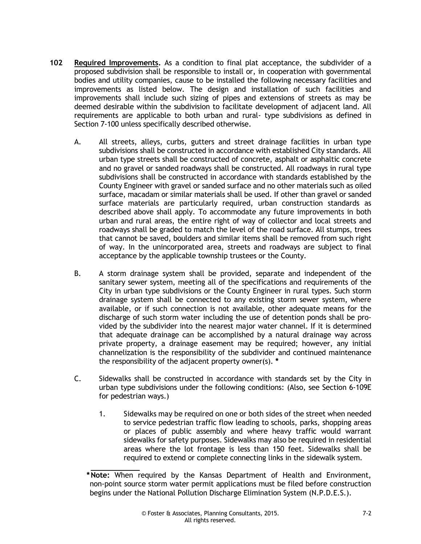- **102 Required Improvements.** As a condition to final plat acceptance, the subdivider of a proposed subdivision shall be responsible to install or, in cooperation with governmental bodies and utility companies, cause to be installed the following necessary facilities and improvements as listed below. The design and installation of such facilities and improvements shall include such sizing of pipes and extensions of streets as may be deemed desirable within the subdivision to facilitate development of adjacent land. All requirements are applicable to both urban and rural- type subdivisions as defined in Section 7-100 unless specifically described otherwise.
	- A. All streets, alleys, curbs, gutters and street drainage facilities in urban type subdivisions shall be constructed in accordance with established City standards. All urban type streets shall be constructed of concrete, asphalt or asphaltic concrete and no gravel or sanded roadways shall be constructed. All roadways in rural type subdivisions shall be constructed in accordance with standards established by the County Engineer with gravel or sanded surface and no other materials such as oiled surface, macadam or similar materials shall be used. If other than gravel or sanded surface materials are particularly required, urban construction standards as described above shall apply. To accommodate any future improvements in both urban and rural areas, the entire right of way of collector and local streets and roadways shall be graded to match the level of the road surface. All stumps, trees that cannot be saved, boulders and similar items shall be removed from such right of way. In the unincorporated area, streets and roadways are subject to final acceptance by the applicable township trustees or the County.
	- B. A storm drainage system shall be provided, separate and independent of the sanitary sewer system, meeting all of the specifications and requirements of the City in urban type subdivisions or the County Engineer in rural types. Such storm drainage system shall be connected to any existing storm sewer system, where available, or if such connection is not available, other adequate means for the discharge of such storm water including the use of detention ponds shall be provided by the subdivider into the nearest major water channel. If it is determined that adequate drainage can be accomplished by a natural drainage way across private property, a drainage easement may be required; however, any initial channelization is the responsibility of the subdivider and continued maintenance the responsibility of the adjacent property owner(s). **\***
	- C. Sidewalks shall be constructed in accordance with standards set by the City in urban type subdivisions under the following conditions: (Also, see Section 6-109E for pedestrian ways.)
		- 1. Sidewalks may be required on one or both sides of the street when needed to service pedestrian traffic flow leading to schools, parks, shopping areas or places of public assembly and where heavy traffic would warrant sidewalks for safety purposes. Sidewalks may also be required in residential areas where the lot frontage is less than 150 feet. Sidewalks shall be required to extend or complete connecting links in the sidewalk system.

**<sup>\*</sup>Note:** When required by the Kansas Department of Health and Environment, non-point source storm water permit applications must be filed before construction begins under the National Pollution Discharge Elimination System (N.P.D.E.S.).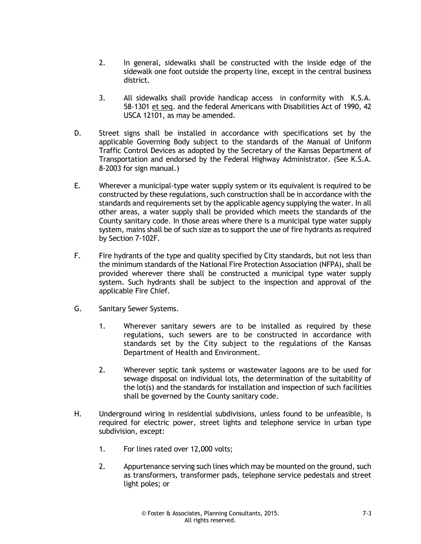- 2. In general, sidewalks shall be constructed with the inside edge of the sidewalk one foot outside the property line, except in the central business district.
- 3. All sidewalks shall provide handicap access in conformity with K.S.A. 58-1301 et seq. and the federal Americans with Disabilities Act of 1990, 42 USCA 12101, as may be amended.
- D. Street signs shall be installed in accordance with specifications set by the applicable Governing Body subject to the standards of the Manual of Uniform Traffic Control Devices as adopted by the Secretary of the Kansas Department of Transportation and endorsed by the Federal Highway Administrator. (See K.S.A. 8-2003 for sign manual.)
- E. Wherever a municipal-type water supply system or its equivalent is required to be constructed by these regulations, such construction shall be in accordance with the standards and requirements set by the applicable agency supplying the water. In all other areas, a water supply shall be provided which meets the standards of the County sanitary code. In those areas where there is a municipal type water supply system, mains shall be of such size as to support the use of fire hydrants as required by Section 7-102F.
- F. Fire hydrants of the type and quality specified by City standards, but not less than the minimum standards of the National Fire Protection Association (NFPA), shall be provided wherever there shall be constructed a municipal type water supply system. Such hydrants shall be subject to the inspection and approval of the applicable Fire Chief.
- G. Sanitary Sewer Systems.
	- 1. Wherever sanitary sewers are to be installed as required by these regulations, such sewers are to be constructed in accordance with standards set by the City subject to the regulations of the Kansas Department of Health and Environment.
	- 2. Wherever septic tank systems or wastewater lagoons are to be used for sewage disposal on individual lots, the determination of the suitability of the lot(s) and the standards for installation and inspection of such facilities shall be governed by the County sanitary code.
- H. Underground wiring in residential subdivisions, unless found to be unfeasible, is required for electric power, street lights and telephone service in urban type subdivision, except:
	- 1. For lines rated over 12,000 volts;
	- 2. Appurtenance serving such lines which may be mounted on the ground, such as transformers, transformer pads, telephone service pedestals and street light poles; or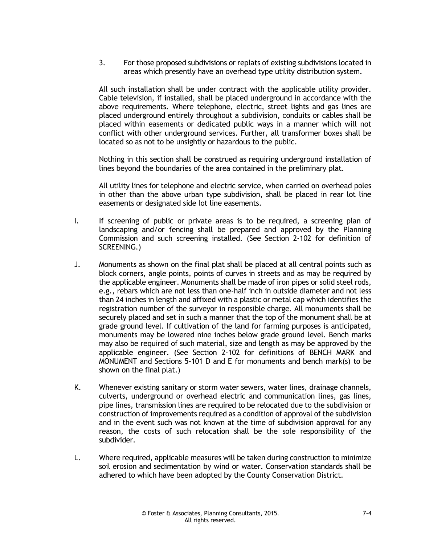3. For those proposed subdivisions or replats of existing subdivisions located in areas which presently have an overhead type utility distribution system.

All such installation shall be under contract with the applicable utility provider. Cable television, if installed, shall be placed underground in accordance with the above requirements. Where telephone, electric, street lights and gas lines are placed underground entirely throughout a subdivision, conduits or cables shall be placed within easements or dedicated public ways in a manner which will not conflict with other underground services. Further, all transformer boxes shall be located so as not to be unsightly or hazardous to the public.

Nothing in this section shall be construed as requiring underground installation of lines beyond the boundaries of the area contained in the preliminary plat.

All utility lines for telephone and electric service, when carried on overhead poles in other than the above urban type subdivision, shall be placed in rear lot line easements or designated side lot line easements.

- I. If screening of public or private areas is to be required, a screening plan of landscaping and/or fencing shall be prepared and approved by the Planning Commission and such screening installed. (See Section 2-102 for definition of SCREENING.)
- J. Monuments as shown on the final plat shall be placed at all central points such as block corners, angle points, points of curves in streets and as may be required by the applicable engineer. Monuments shall be made of iron pipes or solid steel rods, e.g., rebars which are not less than one-half inch in outside diameter and not less than 24 inches in length and affixed with a plastic or metal cap which identifies the registration number of the surveyor in responsible charge. All monuments shall be securely placed and set in such a manner that the top of the monument shall be at grade ground level. If cultivation of the land for farming purposes is anticipated, monuments may be lowered nine inches below grade ground level. Bench marks may also be required of such material, size and length as may be approved by the applicable engineer. (See Section 2-102 for definitions of BENCH MARK and MONUMENT and Sections 5-101 D and E for monuments and bench mark(s) to be shown on the final plat.)
- K. Whenever existing sanitary or storm water sewers, water lines, drainage channels, culverts, underground or overhead electric and communication lines, gas lines, pipe lines, transmission lines are required to be relocated due to the subdivision or construction of improvements required as a condition of approval of the subdivision and in the event such was not known at the time of subdivision approval for any reason, the costs of such relocation shall be the sole responsibility of the subdivider.
- L. Where required, applicable measures will be taken during construction to minimize soil erosion and sedimentation by wind or water. Conservation standards shall be adhered to which have been adopted by the County Conservation District.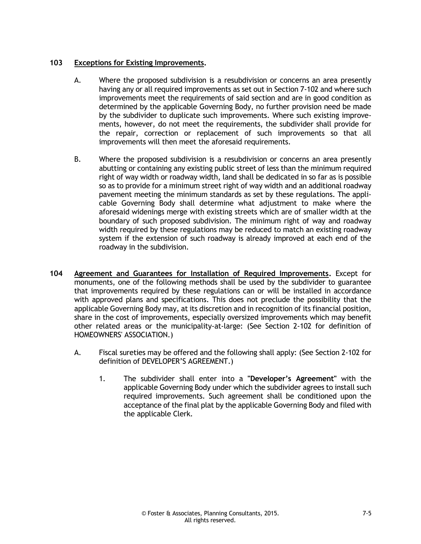#### **103 Exceptions for Existing Improvements.**

- A. Where the proposed subdivision is a resubdivision or concerns an area presently having any or all required improvements as set out in Section 7-102 and where such improvements meet the requirements of said section and are in good condition as determined by the applicable Governing Body, no further provision need be made by the subdivider to duplicate such improvements. Where such existing improvements, however, do not meet the requirements, the subdivider shall provide for the repair, correction or replacement of such improvements so that all improvements will then meet the aforesaid requirements.
- B. Where the proposed subdivision is a resubdivision or concerns an area presently abutting or containing any existing public street of less than the minimum required right of way width or roadway width, land shall be dedicated in so far as is possible so as to provide for a minimum street right of way width and an additional roadway pavement meeting the minimum standards as set by these regulations. The applicable Governing Body shall determine what adjustment to make where the aforesaid widenings merge with existing streets which are of smaller width at the boundary of such proposed subdivision. The minimum right of way and roadway width required by these regulations may be reduced to match an existing roadway system if the extension of such roadway is already improved at each end of the roadway in the subdivision.
- **104 Agreement and Guarantees for Installation of Required Improvements.** Except for monuments, one of the following methods shall be used by the subdivider to guarantee that improvements required by these regulations can or will be installed in accordance with approved plans and specifications. This does not preclude the possibility that the applicable Governing Body may, at its discretion and in recognition of its financial position, share in the cost of improvements, especially oversized improvements which may benefit other related areas or the municipality-at-large: (See Section 2-102 for definition of HOMEOWNERS' ASSOCIATION.)
	- A. Fiscal sureties may be offered and the following shall apply: (See Section 2-102 for definition of DEVELOPER'S AGREEMENT.)
		- 1. The subdivider shall enter into a **"Developer's Agreement"** with the applicable Governing Body under which the subdivider agrees to install such required improvements. Such agreement shall be conditioned upon the acceptance of the final plat by the applicable Governing Body and filed with the applicable Clerk.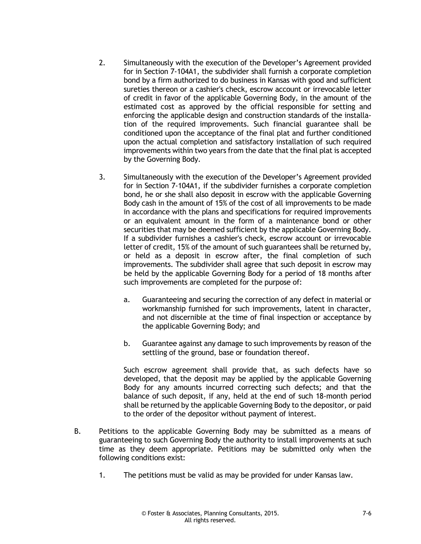- 2. Simultaneously with the execution of the Developer's Agreement provided for in Section 7-104A1, the subdivider shall furnish a corporate completion bond by a firm authorized to do business in Kansas with good and sufficient sureties thereon or a cashier's check, escrow account or irrevocable letter of credit in favor of the applicable Governing Body, in the amount of the estimated cost as approved by the official responsible for setting and enforcing the applicable design and construction standards of the installation of the required improvements. Such financial guarantee shall be conditioned upon the acceptance of the final plat and further conditioned upon the actual completion and satisfactory installation of such required improvements within two years from the date that the final plat is accepted by the Governing Body.
- 3. Simultaneously with the execution of the Developer's Agreement provided for in Section 7-104A1, if the subdivider furnishes a corporate completion bond, he or she shall also deposit in escrow with the applicable Governing Body cash in the amount of 15% of the cost of all improvements to be made in accordance with the plans and specifications for required improvements or an equivalent amount in the form of a maintenance bond or other securities that may be deemed sufficient by the applicable Governing Body. If a subdivider furnishes a cashier's check, escrow account or irrevocable letter of credit, 15% of the amount of such guarantees shall be returned by, or held as a deposit in escrow after, the final completion of such improvements. The subdivider shall agree that such deposit in escrow may be held by the applicable Governing Body for a period of 18 months after such improvements are completed for the purpose of:
	- a. Guaranteeing and securing the correction of any defect in material or workmanship furnished for such improvements, latent in character, and not discernible at the time of final inspection or acceptance by the applicable Governing Body; and
	- b. Guarantee against any damage to such improvements by reason of the settling of the ground, base or foundation thereof.

Such escrow agreement shall provide that, as such defects have so developed, that the deposit may be applied by the applicable Governing Body for any amounts incurred correcting such defects; and that the balance of such deposit, if any, held at the end of such 18-month period shall be returned by the applicable Governing Body to the depositor, or paid to the order of the depositor without payment of interest.

- B. Petitions to the applicable Governing Body may be submitted as a means of guaranteeing to such Governing Body the authority to install improvements at such time as they deem appropriate. Petitions may be submitted only when the following conditions exist:
	- 1. The petitions must be valid as may be provided for under Kansas law.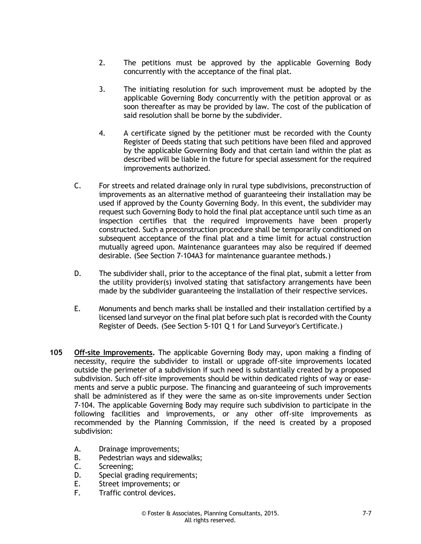- 2. The petitions must be approved by the applicable Governing Body concurrently with the acceptance of the final plat.
- 3. The initiating resolution for such improvement must be adopted by the applicable Governing Body concurrently with the petition approval or as soon thereafter as may be provided by law. The cost of the publication of said resolution shall be borne by the subdivider.
- 4. A certificate signed by the petitioner must be recorded with the County Register of Deeds stating that such petitions have been filed and approved by the applicable Governing Body and that certain land within the plat as described will be liable in the future for special assessment for the required improvements authorized.
- C. For streets and related drainage only in rural type subdivisions, preconstruction of improvements as an alternative method of guaranteeing their installation may be used if approved by the County Governing Body. In this event, the subdivider may request such Governing Body to hold the final plat acceptance until such time as an inspection certifies that the required improvements have been properly constructed. Such a preconstruction procedure shall be temporarily conditioned on subsequent acceptance of the final plat and a time limit for actual construction mutually agreed upon. Maintenance guarantees may also be required if deemed desirable. (See Section 7-104A3 for maintenance guarantee methods.)
- D. The subdivider shall, prior to the acceptance of the final plat, submit a letter from the utility provider(s) involved stating that satisfactory arrangements have been made by the subdivider guaranteeing the installation of their respective services.
- E. Monuments and bench marks shall be installed and their installation certified by a licensed land surveyor on the final plat before such plat is recorded with the County Register of Deeds. (See Section 5-101 Q 1 for Land Surveyor's Certificate.)
- **105 Off-site Improvements.** The applicable Governing Body may, upon making a finding of necessity, require the subdivider to install or upgrade off-site improvements located outside the perimeter of a subdivision if such need is substantially created by a proposed subdivision. Such off-site improvements should be within dedicated rights of way or easements and serve a public purpose. The financing and guaranteeing of such improvements shall be administered as if they were the same as on-site improvements under Section 7-104. The applicable Governing Body may require such subdivision to participate in the following facilities and improvements, or any other off-site improvements as recommended by the Planning Commission, if the need is created by a proposed subdivision:
	- A. Drainage improvements;
	- B. Pedestrian ways and sidewalks;
	- C. Screening;
	- D. Special grading requirements;
	- E. Street improvements; or
	- F. Traffic control devices.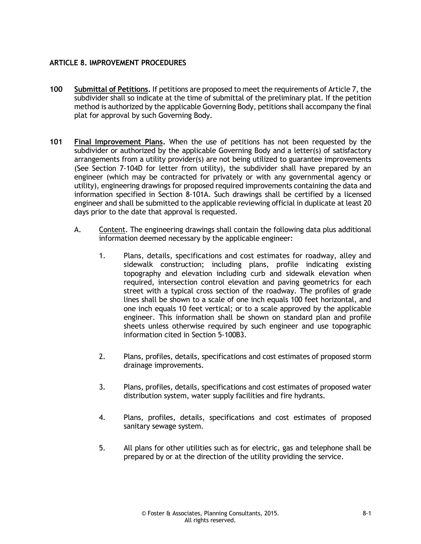#### **ARTICLE 8. IMPROVEMENT PROCEDURES**

- **100 Submittal of Petitions.** If petitions are proposed to meet the requirements of Article 7, the subdivider shall so indicate at the time of submittal of the preliminary plat. If the petition method is authorized by the applicable Governing Body, petitions shall accompany the final plat for approval by such Governing Body.
- **101 Final Improvement Plans.** When the use of petitions has not been requested by the subdivider or authorized by the applicable Governing Body and a letter(s) of satisfactory arrangements from a utility provider(s) are not being utilized to guarantee improvements (See Section 7-104D for letter from utility), the subdivider shall have prepared by an engineer (which may be contracted for privately or with any governmental agency or utility), engineering drawings for proposed required improvements containing the data and information specified in Section 8-101A. Such drawings shall be certified by a licensed engineer and shall be submitted to the applicable reviewing official in duplicate at least 20 days prior to the date that approval is requested.
	- A. Content. The engineering drawings shall contain the following data plus additional information deemed necessary by the applicable engineer:
		- 1. Plans, details, specifications and cost estimates for roadway, alley and sidewalk construction; including plans, profile indicating existing topography and elevation including curb and sidewalk elevation when required, intersection control elevation and paving geometrics for each street with a typical cross section of the roadway. The profiles of grade lines shall be shown to a scale of one inch equals 100 feet horizontal, and one inch equals 10 feet vertical; or to a scale approved by the applicable engineer. This information shall be shown on standard plan and profile sheets unless otherwise required by such engineer and use topographic information cited in Section 5-100B3.
		- 2. Plans, profiles, details, specifications and cost estimates of proposed storm drainage improvements.
		- 3. Plans, profiles, details, specifications and cost estimates of proposed water distribution system, water supply facilities and fire hydrants.
		- 4. Plans, profiles, details, specifications and cost estimates of proposed sanitary sewage system.
		- 5. All plans for other utilities such as for electric, gas and telephone shall be prepared by or at the direction of the utility providing the service.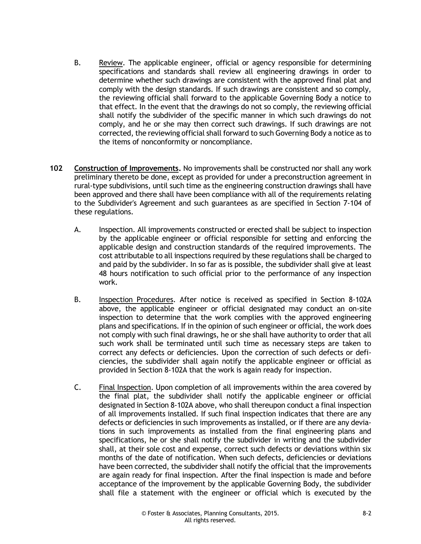- B. Review. The applicable engineer, official or agency responsible for determining specifications and standards shall review all engineering drawings in order to determine whether such drawings are consistent with the approved final plat and comply with the design standards. If such drawings are consistent and so comply, the reviewing official shall forward to the applicable Governing Body a notice to that effect. In the event that the drawings do not so comply, the reviewing official shall notify the subdivider of the specific manner in which such drawings do not comply, and he or she may then correct such drawings. If such drawings are not corrected, the reviewing official shall forward to such Governing Body a notice as to the items of nonconformity or noncompliance.
- **102 Construction of Improvements.** No improvements shall be constructed nor shall any work preliminary thereto be done, except as provided for under a preconstruction agreement in rural-type subdivisions, until such time as the engineering construction drawings shall have been approved and there shall have been compliance with all of the requirements relating to the Subdivider's Agreement and such guarantees as are specified in Section 7-104 of these regulations.
	- A. Inspection. All improvements constructed or erected shall be subject to inspection by the applicable engineer or official responsible for setting and enforcing the applicable design and construction standards of the required improvements. The cost attributable to all inspections required by these regulations shall be charged to and paid by the subdivider. In so far as is possible, the subdivider shall give at least 48 hours notification to such official prior to the performance of any inspection work.
	- B. Inspection Procedures. After notice is received as specified in Section 8-102A above, the applicable engineer or official designated may conduct an on-site inspection to determine that the work complies with the approved engineering plans and specifications. If in the opinion of such engineer or official, the work does not comply with such final drawings, he or she shall have authority to order that all such work shall be terminated until such time as necessary steps are taken to correct any defects or deficiencies. Upon the correction of such defects or deficiencies, the subdivider shall again notify the applicable engineer or official as provided in Section 8-102A that the work is again ready for inspection.
	- C. Final Inspection. Upon completion of all improvements within the area covered by the final plat, the subdivider shall notify the applicable engineer or official designated in Section 8-102A above, who shall thereupon conduct a final inspection of all improvements installed. If such final inspection indicates that there are any defects or deficiencies in such improvements as installed, or if there are any deviations in such improvements as installed from the final engineering plans and specifications, he or she shall notify the subdivider in writing and the subdivider shall, at their sole cost and expense, correct such defects or deviations within six months of the date of notification. When such defects, deficiencies or deviations have been corrected, the subdivider shall notify the official that the improvements are again ready for final inspection. After the final inspection is made and before acceptance of the improvement by the applicable Governing Body, the subdivider shall file a statement with the engineer or official which is executed by the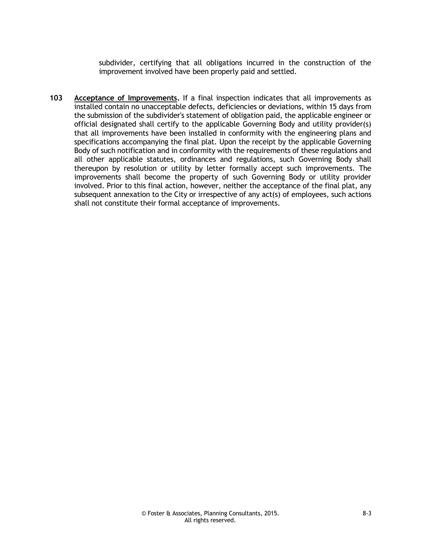subdivider, certifying that all obligations incurred in the construction of the improvement involved have been properly paid and settled.

**103 Acceptance of Improvements.** If a final inspection indicates that all improvements as installed contain no unacceptable defects, deficiencies or deviations, within 15 days from the submission of the subdivider's statement of obligation paid, the applicable engineer or official designated shall certify to the applicable Governing Body and utility provider(s) that all improvements have been installed in conformity with the engineering plans and specifications accompanying the final plat. Upon the receipt by the applicable Governing Body of such notification and in conformity with the requirements of these regulations and all other applicable statutes, ordinances and regulations, such Governing Body shall thereupon by resolution or utility by letter formally accept such improvements. The improvements shall become the property of such Governing Body or utility provider involved. Prior to this final action, however, neither the acceptance of the final plat, any subsequent annexation to the City or irrespective of any act(s) of employees, such actions shall not constitute their formal acceptance of improvements.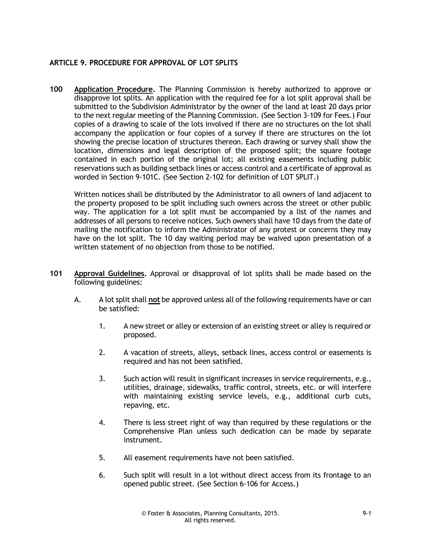#### **ARTICLE 9. PROCEDURE FOR APPROVAL OF LOT SPLITS**

**100 Application Procedure.** The Planning Commission is hereby authorized to approve or disapprove lot splits. An application with the required fee for a lot split approval shall be submitted to the Subdivision Administrator by the owner of the land at least 20 days prior to the next regular meeting of the Planning Commission. (See Section 3-109 for Fees.) Four copies of a drawing to scale of the lots involved if there are no structures on the lot shall accompany the application or four copies of a survey if there are structures on the lot showing the precise location of structures thereon. Each drawing or survey shall show the location, dimensions and legal description of the proposed split; the square footage contained in each portion of the original lot; all existing easements including public reservations such as building setback lines or access control and a certificate of approval as worded in Section 9-101C. (See Section 2-102 for definition of LOT SPLIT.)

Written notices shall be distributed by the Administrator to all owners of land adjacent to the property proposed to be split including such owners across the street or other public way. The application for a lot split must be accompanied by a list of the names and addresses of all persons to receive notices. Such owners shall have 10 days from the date of mailing the notification to inform the Administrator of any protest or concerns they may have on the lot split. The 10 day waiting period may be waived upon presentation of a written statement of no objection from those to be notified.

- **101 Approval Guidelines.** Approval or disapproval of lot splits shall be made based on the following guidelines:
	- A. A lot split shall **not** be approved unless all of the following requirements have or can be satisfied:
		- 1. A new street or alley or extension of an existing street or alley is required or proposed.
		- 2. A vacation of streets, alleys, setback lines, access control or easements is required and has not been satisfied.
		- 3. Such action will result in significant increases in service requirements, e.g., utilities, drainage, sidewalks, traffic control, streets, etc. or will interfere with maintaining existing service levels, e.g., additional curb cuts, repaving, etc.
		- 4. There is less street right of way than required by these regulations or the Comprehensive Plan unless such dedication can be made by separate instrument.
		- 5. All easement requirements have not been satisfied.
		- 6. Such split will result in a lot without direct access from its frontage to an opened public street. (See Section 6-106 for Access.)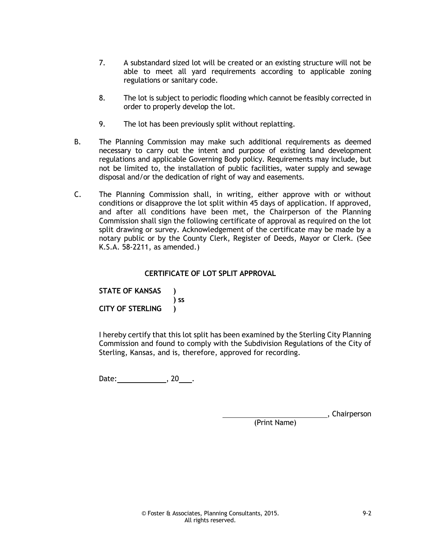- 7. A substandard sized lot will be created or an existing structure will not be able to meet all yard requirements according to applicable zoning regulations or sanitary code.
- 8. The lot is subject to periodic flooding which cannot be feasibly corrected in order to properly develop the lot.
- 9. The lot has been previously split without replatting.
- B. The Planning Commission may make such additional requirements as deemed necessary to carry out the intent and purpose of existing land development regulations and applicable Governing Body policy. Requirements may include, but not be limited to, the installation of public facilities, water supply and sewage disposal and/or the dedication of right of way and easements.
- C. The Planning Commission shall, in writing, either approve with or without conditions or disapprove the lot split within 45 days of application. If approved, and after all conditions have been met, the Chairperson of the Planning Commission shall sign the following certificate of approval as required on the lot split drawing or survey. Acknowledgement of the certificate may be made by a notary public or by the County Clerk, Register of Deeds, Mayor or Clerk. (See K.S.A. 58-2211, as amended.)

#### **CERTIFICATE OF LOT SPLIT APPROVAL**

**STATE OF KANSAS ) ) ss CITY OF STERLING )**

I hereby certify that this lot split has been examined by the Sterling City Planning Commission and found to comply with the Subdivision Regulations of the City of Sterling, Kansas, and is, therefore, approved for recording.

Date: , 20 .

**Chairperson** 

(Print Name)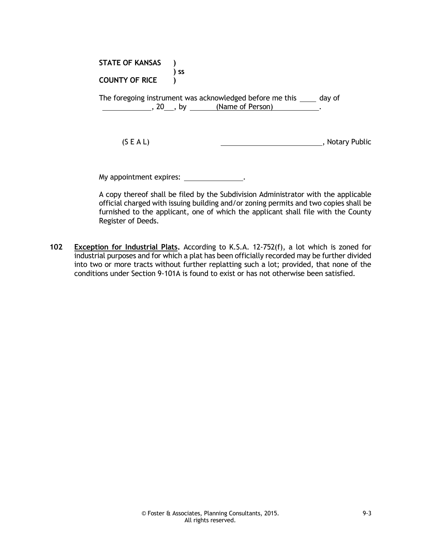| <b>STATE OF KANSAS</b>  | <b>SS</b>                                                                                                    |                 |
|-------------------------|--------------------------------------------------------------------------------------------------------------|-----------------|
| <b>COUNTY OF RICE</b>   |                                                                                                              |                 |
|                         | The foregoing instrument was acknowledged before me this _____ day of<br>$\,$ , 20, by $\,$ (Name of Person) |                 |
| (S E A L)               |                                                                                                              | , Notary Public |
| My appointment expires: |                                                                                                              |                 |

A copy thereof shall be filed by the Subdivision Administrator with the applicable official charged with issuing building and/or zoning permits and two copies shall be furnished to the applicant, one of which the applicant shall file with the County Register of Deeds.

**102 Exception for Industrial Plats.** According to K.S.A. 12-752(f), a lot which is zoned for industrial purposes and for which a plat has been officially recorded may be further divided into two or more tracts without further replatting such a lot; provided, that none of the conditions under Section 9-101A is found to exist or has not otherwise been satisfied.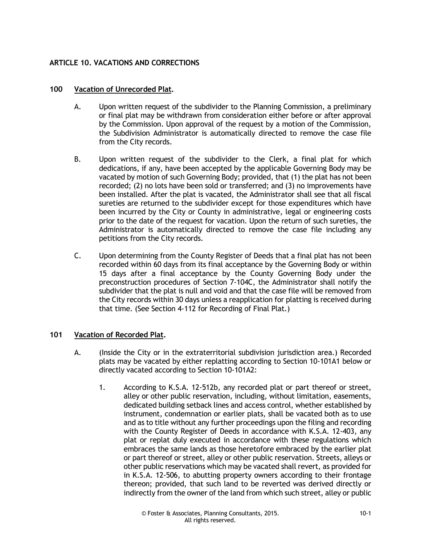#### **ARTICLE 10. VACATIONS AND CORRECTIONS**

#### **100 Vacation of Unrecorded Plat.**

- A. Upon written request of the subdivider to the Planning Commission, a preliminary or final plat may be withdrawn from consideration either before or after approval by the Commission. Upon approval of the request by a motion of the Commission, the Subdivision Administrator is automatically directed to remove the case file from the City records.
- B. Upon written request of the subdivider to the Clerk, a final plat for which dedications, if any, have been accepted by the applicable Governing Body may be vacated by motion of such Governing Body; provided, that (1) the plat has not been recorded; (2) no lots have been sold or transferred; and (3) no improvements have been installed. After the plat is vacated, the Administrator shall see that all fiscal sureties are returned to the subdivider except for those expenditures which have been incurred by the City or County in administrative, legal or engineering costs prior to the date of the request for vacation. Upon the return of such sureties, the Administrator is automatically directed to remove the case file including any petitions from the City records.
- C. Upon determining from the County Register of Deeds that a final plat has not been recorded within 60 days from its final acceptance by the Governing Body or within 15 days after a final acceptance by the County Governing Body under the preconstruction procedures of Section 7-104C, the Administrator shall notify the subdivider that the plat is null and void and that the case file will be removed from the City records within 30 days unless a reapplication for platting is received during that time. (See Section 4-112 for Recording of Final Plat.)

#### **101 Vacation of Recorded Plat.**

- A. (Inside the City or in the extraterritorial subdivision jurisdiction area.) Recorded plats may be vacated by either replatting according to Section 10-101A1 below or directly vacated according to Section 10-101A2:
	- 1. According to K.S.A. 12-512b, any recorded plat or part thereof or street, alley or other public reservation, including, without limitation, easements, dedicated building setback lines and access control, whether established by instrument, condemnation or earlier plats, shall be vacated both as to use and as to title without any further proceedings upon the filing and recording with the County Register of Deeds in accordance with K.S.A. 12-403, any plat or replat duly executed in accordance with these regulations which embraces the same lands as those heretofore embraced by the earlier plat or part thereof or street, alley or other public reservation. Streets, alleys or other public reservations which may be vacated shall revert, as provided for in K.S.A. 12-506, to abutting property owners according to their frontage thereon; provided, that such land to be reverted was derived directly or indirectly from the owner of the land from which such street, alley or public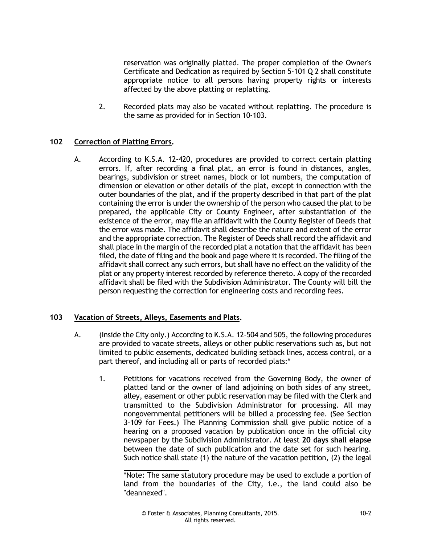reservation was originally platted. The proper completion of the Owner's Certificate and Dedication as required by Section 5-101 Q 2 shall constitute appropriate notice to all persons having property rights or interests affected by the above platting or replatting.

2. Recorded plats may also be vacated without replatting. The procedure is the same as provided for in Section 10-103.

#### **102 Correction of Platting Errors.**

A. According to K.S.A. 12-420, procedures are provided to correct certain platting errors. If, after recording a final plat, an error is found in distances, angles, bearings, subdivision or street names, block or lot numbers, the computation of dimension or elevation or other details of the plat, except in connection with the outer boundaries of the plat, and if the property described in that part of the plat containing the error is under the ownership of the person who caused the plat to be prepared, the applicable City or County Engineer, after substantiation of the existence of the error, may file an affidavit with the County Register of Deeds that the error was made. The affidavit shall describe the nature and extent of the error and the appropriate correction. The Register of Deeds shall record the affidavit and shall place in the margin of the recorded plat a notation that the affidavit has been filed, the date of filing and the book and page where it is recorded. The filing of the affidavit shall correct any such errors, but shall have no effect on the validity of the plat or any property interest recorded by reference thereto. A copy of the recorded affidavit shall be filed with the Subdivision Administrator. The County will bill the person requesting the correction for engineering costs and recording fees.

#### **103 Vacation of Streets, Alleys, Easements and Plats.**

- A. (Inside the City only.) According to K.S.A. 12-504 and 505, the following procedures are provided to vacate streets, alleys or other public reservations such as, but not limited to public easements, dedicated building setback lines, access control, or a part thereof, and including all or parts of recorded plats:\*
	- 1. Petitions for vacations received from the Governing Body, the owner of platted land or the owner of land adjoining on both sides of any street, alley, easement or other public reservation may be filed with the Clerk and transmitted to the Subdivision Administrator for processing. All may nongovernmental petitioners will be billed a processing fee. (See Section 3-109 for Fees.) The Planning Commission shall give public notice of a hearing on a proposed vacation by publication once in the official city newspaper by the Subdivision Administrator. At least **20 days shall elapse** between the date of such publication and the date set for such hearing. Such notice shall state (1) the nature of the vacation petition, (2) the legal

<sup>\*</sup>Note: The same statutory procedure may be used to exclude a portion of land from the boundaries of the City, i.e., the land could also be "deannexed".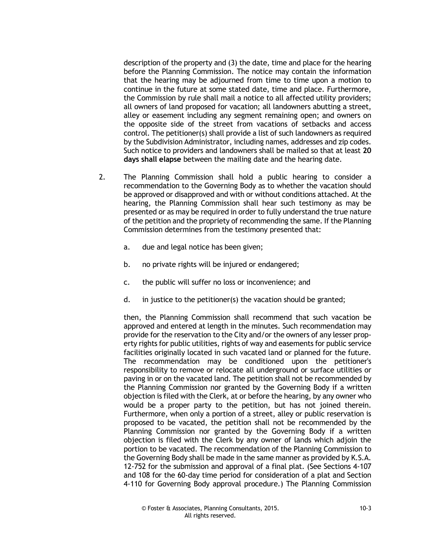description of the property and (3) the date, time and place for the hearing before the Planning Commission. The notice may contain the information that the hearing may be adjourned from time to time upon a motion to continue in the future at some stated date, time and place. Furthermore, the Commission by rule shall mail a notice to all affected utility providers; all owners of land proposed for vacation; all landowners abutting a street, alley or easement including any segment remaining open; and owners on the opposite side of the street from vacations of setbacks and access control. The petitioner(s) shall provide a list of such landowners as required by the Subdivision Administrator, including names, addresses and zip codes. Such notice to providers and landowners shall be mailed so that at least **20 days shall elapse** between the mailing date and the hearing date.

- 2. The Planning Commission shall hold a public hearing to consider a recommendation to the Governing Body as to whether the vacation should be approved or disapproved and with or without conditions attached. At the hearing, the Planning Commission shall hear such testimony as may be presented or as may be required in order to fully understand the true nature of the petition and the propriety of recommending the same. If the Planning Commission determines from the testimony presented that:
	- a. due and legal notice has been given;
	- b. no private rights will be injured or endangered;
	- c. the public will suffer no loss or inconvenience; and
	- d. in justice to the petitioner(s) the vacation should be granted;

then, the Planning Commission shall recommend that such vacation be approved and entered at length in the minutes. Such recommendation may provide for the reservation to the City and/or the owners of any lesser property rights for public utilities, rights of way and easements for public service facilities originally located in such vacated land or planned for the future. The recommendation may be conditioned upon the petitioner's responsibility to remove or relocate all underground or surface utilities or paving in or on the vacated land. The petition shall not be recommended by the Planning Commission nor granted by the Governing Body if a written objection is filed with the Clerk, at or before the hearing, by any owner who would be a proper party to the petition, but has not joined therein. Furthermore, when only a portion of a street, alley or public reservation is proposed to be vacated, the petition shall not be recommended by the Planning Commission nor granted by the Governing Body if a written objection is filed with the Clerk by any owner of lands which adjoin the portion to be vacated. The recommendation of the Planning Commission to the Governing Body shall be made in the same manner as provided by K.S.A. 12-752 for the submission and approval of a final plat. (See Sections 4-107 and 108 for the 60-day time period for consideration of a plat and Section 4-110 for Governing Body approval procedure.) The Planning Commission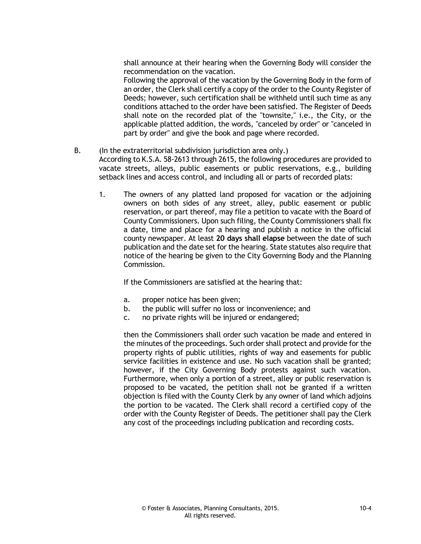shall announce at their hearing when the Governing Body will consider the recommendation on the vacation.

Following the approval of the vacation by the Governing Body in the form of an order, the Clerk shall certify a copy of the order to the County Register of Deeds; however, such certification shall be withheld until such time as any conditions attached to the order have been satisfied. The Register of Deeds shall note on the recorded plat of the "townsite," i.e., the City, or the applicable platted addition, the words, "canceled by order" or "canceled in part by order" and give the book and page where recorded.

B. (In the extraterritorial subdivision jurisdiction area only.)

According to K.S.A. 58-2613 through 2615, the following procedures are provided to vacate streets, alleys, public easements or public reservations, e.g., building setback lines and access control, and including all or parts of recorded plats:

1. The owners of any platted land proposed for vacation or the adjoining owners on both sides of any street, alley, public easement or public reservation, or part thereof, may file a petition to vacate with the Board of County Commissioners. Upon such filing, the County Commissioners shall fix a date, time and place for a hearing and publish a notice in the official county newspaper. At least **20 days shall elapse** between the date of such publication and the date set for the hearing. State statutes also require that notice of the hearing be given to the City Governing Body and the Planning Commission.

If the Commissioners are satisfied at the hearing that:

- a. proper notice has been given;
- b. the public will suffer no loss or inconvenience; and
- c. no private rights will be injured or endangered;

then the Commissioners shall order such vacation be made and entered in the minutes of the proceedings. Such order shall protect and provide for the property rights of public utilities, rights of way and easements for public service facilities in existence and use. No such vacation shall be granted; however, if the City Governing Body protests against such vacation. Furthermore, when only a portion of a street, alley or public reservation is proposed to be vacated, the petition shall not be granted if a written objection is filed with the County Clerk by any owner of land which adjoins the portion to be vacated. The Clerk shall record a certified copy of the order with the County Register of Deeds. The petitioner shall pay the Clerk any cost of the proceedings including publication and recording costs.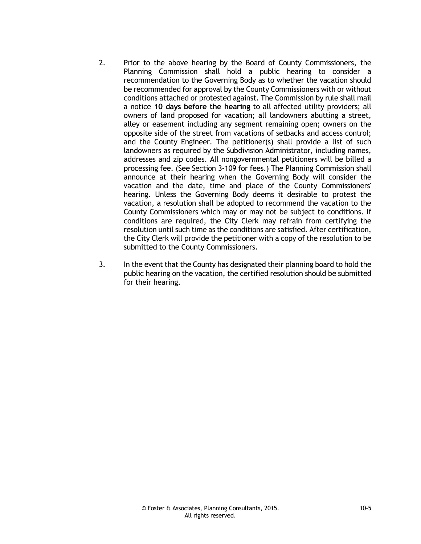- 2. Prior to the above hearing by the Board of County Commissioners, the Planning Commission shall hold a public hearing to consider a recommendation to the Governing Body as to whether the vacation should be recommended for approval by the County Commissioners with or without conditions attached or protested against. The Commission by rule shall mail a notice **10 days before the hearing** to all affected utility providers; all owners of land proposed for vacation; all landowners abutting a street, alley or easement including any segment remaining open; owners on the opposite side of the street from vacations of setbacks and access control; and the County Engineer. The petitioner(s) shall provide a list of such landowners as required by the Subdivision Administrator, including names, addresses and zip codes. All nongovernmental petitioners will be billed a processing fee. (See Section 3-109 for fees.) The Planning Commission shall announce at their hearing when the Governing Body will consider the vacation and the date, time and place of the County Commissioners' hearing. Unless the Governing Body deems it desirable to protest the vacation, a resolution shall be adopted to recommend the vacation to the County Commissioners which may or may not be subject to conditions. If conditions are required, the City Clerk may refrain from certifying the resolution until such time as the conditions are satisfied. After certification, the City Clerk will provide the petitioner with a copy of the resolution to be submitted to the County Commissioners.
- 3. In the event that the County has designated their planning board to hold the public hearing on the vacation, the certified resolution should be submitted for their hearing.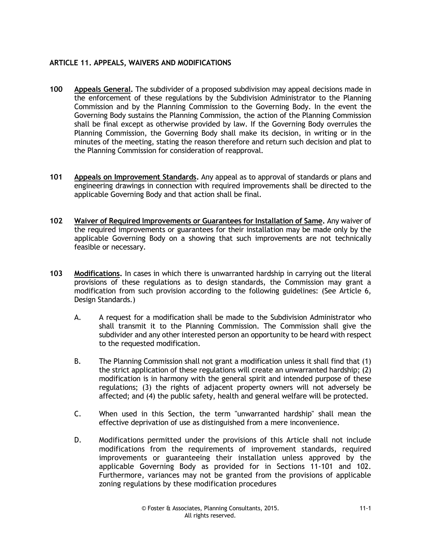#### **ARTICLE 11. APPEALS, WAIVERS AND MODIFICATIONS**

- **100 Appeals General.** The subdivider of a proposed subdivision may appeal decisions made in the enforcement of these regulations by the Subdivision Administrator to the Planning Commission and by the Planning Commission to the Governing Body. In the event the Governing Body sustains the Planning Commission, the action of the Planning Commission shall be final except as otherwise provided by law. If the Governing Body overrules the Planning Commission, the Governing Body shall make its decision, in writing or in the minutes of the meeting, stating the reason therefore and return such decision and plat to the Planning Commission for consideration of reapproval.
- **101 Appeals on Improvement Standards.** Any appeal as to approval of standards or plans and engineering drawings in connection with required improvements shall be directed to the applicable Governing Body and that action shall be final.
- **102 Waiver of Required Improvements or Guarantees for Installation of Same.** Any waiver of the required improvements or guarantees for their installation may be made only by the applicable Governing Body on a showing that such improvements are not technically feasible or necessary.
- **103 Modifications.** In cases in which there is unwarranted hardship in carrying out the literal provisions of these regulations as to design standards, the Commission may grant a modification from such provision according to the following guidelines: (See Article 6, Design Standards.)
	- A. A request for a modification shall be made to the Subdivision Administrator who shall transmit it to the Planning Commission. The Commission shall give the subdivider and any other interested person an opportunity to be heard with respect to the requested modification.
	- B. The Planning Commission shall not grant a modification unless it shall find that (1) the strict application of these regulations will create an unwarranted hardship; (2) modification is in harmony with the general spirit and intended purpose of these regulations; (3) the rights of adjacent property owners will not adversely be affected; and (4) the public safety, health and general welfare will be protected.
	- C. When used in this Section, the term "unwarranted hardship" shall mean the effective deprivation of use as distinguished from a mere inconvenience.
	- D. Modifications permitted under the provisions of this Article shall not include modifications from the requirements of improvement standards, required improvements or guaranteeing their installation unless approved by the applicable Governing Body as provided for in Sections 11-101 and 102. Furthermore, variances may not be granted from the provisions of applicable zoning regulations by these modification procedures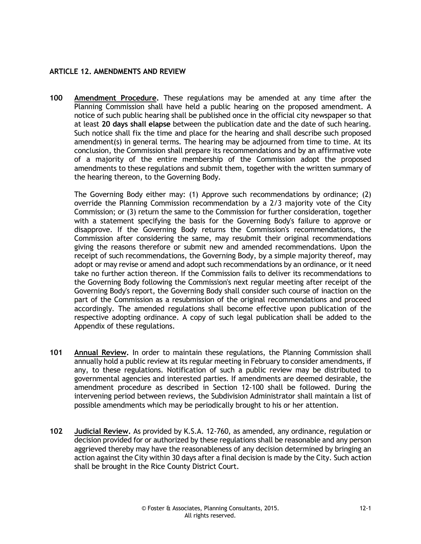#### **ARTICLE 12. AMENDMENTS AND REVIEW**

**100 Amendment Procedure.** These regulations may be amended at any time after the Planning Commission shall have held a public hearing on the proposed amendment. A notice of such public hearing shall be published once in the official city newspaper so that at least **20 days shall elapse** between the publication date and the date of such hearing. Such notice shall fix the time and place for the hearing and shall describe such proposed amendment(s) in general terms. The hearing may be adjourned from time to time. At its conclusion, the Commission shall prepare its recommendations and by an affirmative vote of a majority of the entire membership of the Commission adopt the proposed amendments to these regulations and submit them, together with the written summary of the hearing thereon, to the Governing Body.

The Governing Body either may: (1) Approve such recommendations by ordinance; (2) override the Planning Commission recommendation by a 2/3 majority vote of the City Commission; or (3) return the same to the Commission for further consideration, together with a statement specifying the basis for the Governing Body's failure to approve or disapprove. If the Governing Body returns the Commission's recommendations, the Commission after considering the same, may resubmit their original recommendations giving the reasons therefore or submit new and amended recommendations. Upon the receipt of such recommendations, the Governing Body, by a simple majority thereof, may adopt or may revise or amend and adopt such recommendations by an ordinance, or it need take no further action thereon. If the Commission fails to deliver its recommendations to the Governing Body following the Commission's next regular meeting after receipt of the Governing Body's report, the Governing Body shall consider such course of inaction on the part of the Commission as a resubmission of the original recommendations and proceed accordingly. The amended regulations shall become effective upon publication of the respective adopting ordinance. A copy of such legal publication shall be added to the Appendix of these regulations.

- **101 Annual Review.** In order to maintain these regulations, the Planning Commission shall annually hold a public review at its regular meeting in February to consider amendments, if any, to these regulations. Notification of such a public review may be distributed to governmental agencies and interested parties. If amendments are deemed desirable, the amendment procedure as described in Section 12-100 shall be followed. During the intervening period between reviews, the Subdivision Administrator shall maintain a list of possible amendments which may be periodically brought to his or her attention.
- **102 Judicial Review.** As provided by K.S.A. 12-760, as amended, any ordinance, regulation or decision provided for or authorized by these regulations shall be reasonable and any person aggrieved thereby may have the reasonableness of any decision determined by bringing an action against the City within 30 days after a final decision is made by the City. Such action shall be brought in the Rice County District Court.